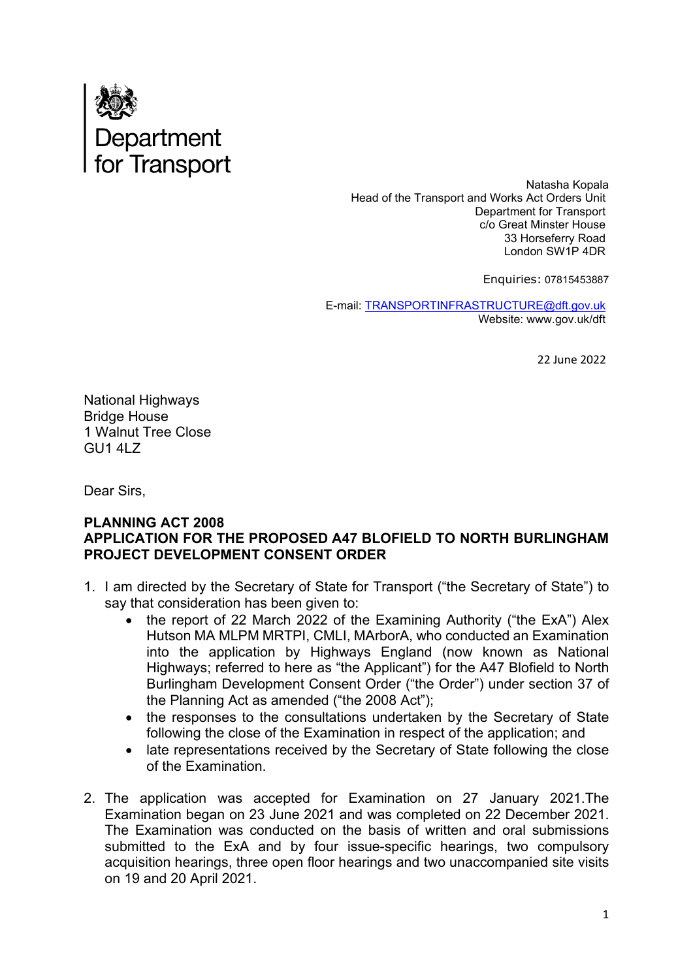

Natasha Kopala Head of the Transport and Works Act Orders Unit Department for Transport c/o Great Minster House 33 Horseferry Road London SW1P 4DR

Enquiries: 07815453887

E-mail: [TRANSPORTINFRASTRUCTURE@dft.gov.uk](mailto:TRANSPORTINFRASTRUCTURE@dft.gov.uk) Website: www.gov.uk/dft

22 June 2022

National Highways Bridge House 1 Walnut Tree Close GU1 4LZ

Dear Sirs,

#### **PLANNING ACT 2008 APPLICATION FOR THE PROPOSED A47 BLOFIELD TO NORTH BURLINGHAM PROJECT DEVELOPMENT CONSENT ORDER**

- 1. I am directed by the Secretary of State for Transport ("the Secretary of State") to say that consideration has been given to:
	- the report of 22 March 2022 of the Examining Authority ("the ExA") Alex Hutson MA MLPM MRTPI, CMLI, MArborA, who conducted an Examination into the application by Highways England (now known as National Highways; referred to here as "the Applicant") for the A47 Blofield to North Burlingham Development Consent Order ("the Order") under section 37 of the Planning Act as amended ("the 2008 Act");
	- the responses to the consultations undertaken by the Secretary of State following the close of the Examination in respect of the application; and
	- late representations received by the Secretary of State following the close of the Examination.
- 2. The application was accepted for Examination on 27 January 2021.The Examination began on 23 June 2021 and was completed on 22 December 2021. The Examination was conducted on the basis of written and oral submissions submitted to the ExA and by four issue-specific hearings, two compulsory acquisition hearings, three open floor hearings and two unaccompanied site visits on 19 and 20 April 2021.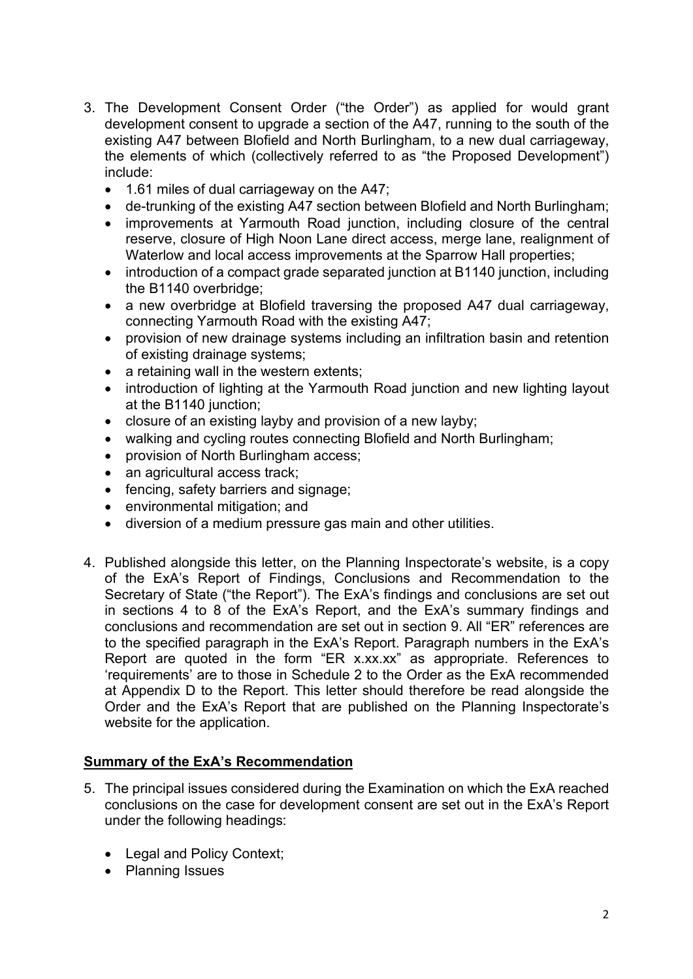- 3. The Development Consent Order ("the Order") as applied for would grant development consent to upgrade a section of the A47, running to the south of the existing A47 between Blofield and North Burlingham, to a new dual carriageway, the elements of which (collectively referred to as "the Proposed Development") include:
	- 1.61 miles of dual carriageway on the A47;
	- de-trunking of the existing A47 section between Blofield and North Burlingham;
	- improvements at Yarmouth Road junction, including closure of the central reserve, closure of High Noon Lane direct access, merge lane, realignment of Waterlow and local access improvements at the Sparrow Hall properties;
	- introduction of a compact grade separated junction at B1140 junction, including the B1140 overbridge;
	- a new overbridge at Blofield traversing the proposed A47 dual carriageway, connecting Yarmouth Road with the existing A47;
	- provision of new drainage systems including an infiltration basin and retention of existing drainage systems;
	- a retaining wall in the western extents;
	- introduction of lighting at the Yarmouth Road junction and new lighting layout at the B1140 junction;
	- closure of an existing layby and provision of a new layby;
	- walking and cycling routes connecting Blofield and North Burlingham;
	- provision of North Burlingham access;
	- an agricultural access track:
	- fencing, safety barriers and signage;
	- environmental mitigation; and
	- diversion of a medium pressure gas main and other utilities.
- 4. Published alongside this letter, on the Planning Inspectorate's website, is a copy of the ExA's Report of Findings, Conclusions and Recommendation to the Secretary of State ("the Report"). The ExA's findings and conclusions are set out in sections 4 to 8 of the ExA's Report, and the ExA's summary findings and conclusions and recommendation are set out in section 9. All "ER" references are to the specified paragraph in the ExA's Report. Paragraph numbers in the ExA's Report are quoted in the form "ER x.xx.xx" as appropriate. References to 'requirements' are to those in Schedule 2 to the Order as the ExA recommended at Appendix D to the Report. This letter should therefore be read alongside the Order and the ExA's Report that are published on the Planning Inspectorate's website for the application.

### **Summary of the ExA's Recommendation**

- 5. The principal issues considered during the Examination on which the ExA reached conclusions on the case for development consent are set out in the ExA's Report under the following headings:
	- Legal and Policy Context;
	- Planning Issues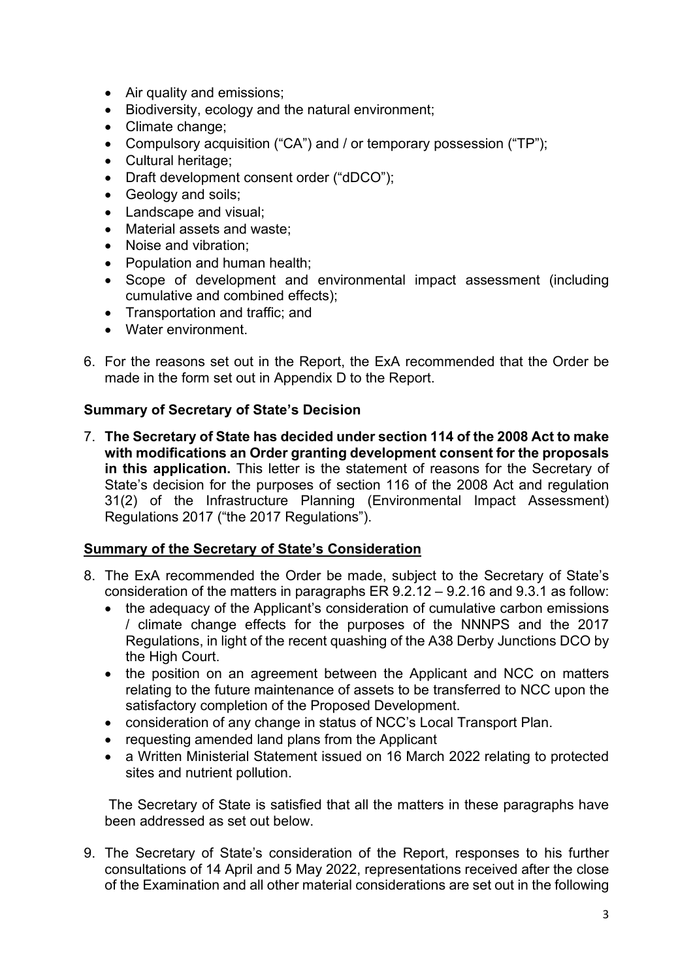- Air quality and emissions;
- Biodiversity, ecology and the natural environment;
- Climate change;
- Compulsory acquisition ("CA") and / or temporary possession ("TP");
- Cultural heritage;
- Draft development consent order ("dDCO");
- Geology and soils;
- Landscape and visual;
- Material assets and waste;
- Noise and vibration;
- Population and human health;
- Scope of development and environmental impact assessment (including cumulative and combined effects);
- Transportation and traffic; and
- Water environment.
- 6. For the reasons set out in the Report, the ExA recommended that the Order be made in the form set out in Appendix D to the Report.

### **Summary of Secretary of State's Decision**

7. **The Secretary of State has decided under section 114 of the 2008 Act to make with modifications an Order granting development consent for the proposals in this application.** This letter is the statement of reasons for the Secretary of State's decision for the purposes of section 116 of the 2008 Act and regulation 31(2) of the Infrastructure Planning (Environmental Impact Assessment) Regulations 2017 ("the 2017 Regulations").

### **Summary of the Secretary of State's Consideration**

- 8. The ExA recommended the Order be made, subject to the Secretary of State's consideration of the matters in paragraphs ER 9.2.12 – 9.2.16 and 9.3.1 as follow:
	- the adequacy of the Applicant's consideration of cumulative carbon emissions / climate change effects for the purposes of the NNNPS and the 2017 Regulations, in light of the recent quashing of the A38 Derby Junctions DCO by the High Court.
	- the position on an agreement between the Applicant and NCC on matters relating to the future maintenance of assets to be transferred to NCC upon the satisfactory completion of the Proposed Development.
	- consideration of any change in status of NCC's Local Transport Plan.
	- requesting amended land plans from the Applicant
	- a Written Ministerial Statement issued on 16 March 2022 relating to protected sites and nutrient pollution.

 The Secretary of State is satisfied that all the matters in these paragraphs have been addressed as set out below.

9. The Secretary of State's consideration of the Report, responses to his further consultations of 14 April and 5 May 2022, representations received after the close of the Examination and all other material considerations are set out in the following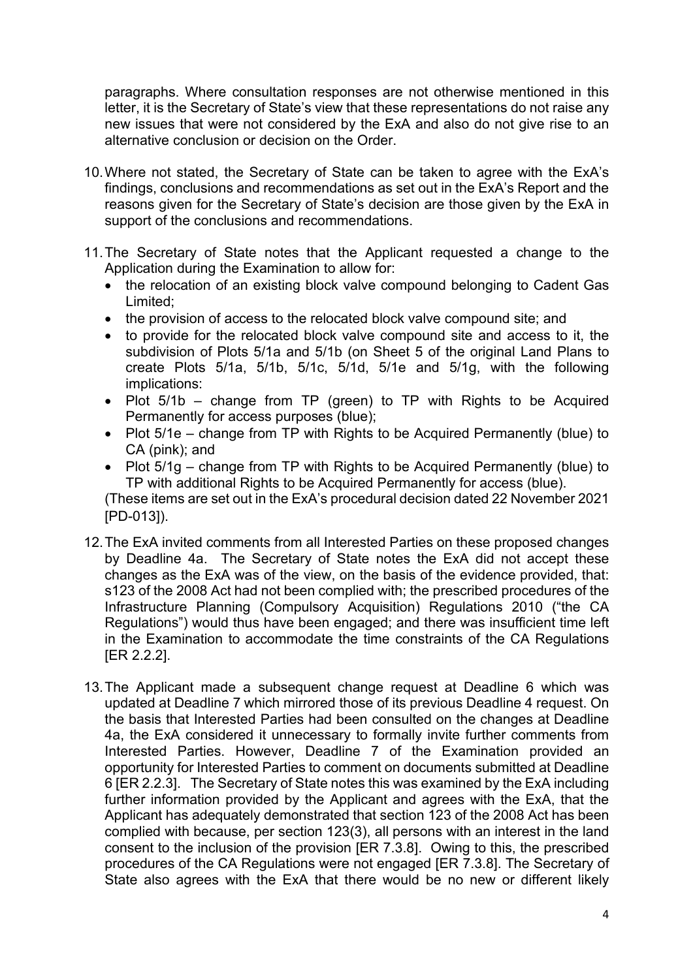paragraphs. Where consultation responses are not otherwise mentioned in this letter, it is the Secretary of State's view that these representations do not raise any new issues that were not considered by the ExA and also do not give rise to an alternative conclusion or decision on the Order.

- 10.Where not stated, the Secretary of State can be taken to agree with the ExA's findings, conclusions and recommendations as set out in the ExA's Report and the reasons given for the Secretary of State's decision are those given by the ExA in support of the conclusions and recommendations.
- 11.The Secretary of State notes that the Applicant requested a change to the Application during the Examination to allow for:
	- the relocation of an existing block valve compound belonging to Cadent Gas Limited;
	- the provision of access to the relocated block valve compound site; and
	- to provide for the relocated block valve compound site and access to it, the subdivision of Plots 5/1a and 5/1b (on Sheet 5 of the original Land Plans to create Plots 5/1a, 5/1b, 5/1c, 5/1d, 5/1e and 5/1g, with the following implications:
	- Plot 5/1b change from TP (green) to TP with Rights to be Acquired Permanently for access purposes (blue);
	- Plot 5/1e change from TP with Rights to be Acquired Permanently (blue) to CA (pink); and
	- Plot 5/1g change from TP with Rights to be Acquired Permanently (blue) to TP with additional Rights to be Acquired Permanently for access (blue).

(These items are set out in the ExA's procedural decision dated 22 November 2021 [PD-013]).

- 12.The ExA invited comments from all Interested Parties on these proposed changes by Deadline 4a. The Secretary of State notes the ExA did not accept these changes as the ExA was of the view, on the basis of the evidence provided, that: s123 of the 2008 Act had not been complied with; the prescribed procedures of the Infrastructure Planning (Compulsory Acquisition) Regulations 2010 ("the CA Regulations") would thus have been engaged; and there was insufficient time left in the Examination to accommodate the time constraints of the CA Regulations [ER 2.2.2].
- 13.The Applicant made a subsequent change request at Deadline 6 which was updated at Deadline 7 which mirrored those of its previous Deadline 4 request. On the basis that Interested Parties had been consulted on the changes at Deadline 4a, the ExA considered it unnecessary to formally invite further comments from Interested Parties. However, Deadline 7 of the Examination provided an opportunity for Interested Parties to comment on documents submitted at Deadline 6 [ER 2.2.3]. The Secretary of State notes this was examined by the ExA including further information provided by the Applicant and agrees with the ExA, that the Applicant has adequately demonstrated that section 123 of the 2008 Act has been complied with because, per section 123(3), all persons with an interest in the land consent to the inclusion of the provision [ER 7.3.8]. Owing to this, the prescribed procedures of the CA Regulations were not engaged [ER 7.3.8]. The Secretary of State also agrees with the ExA that there would be no new or different likely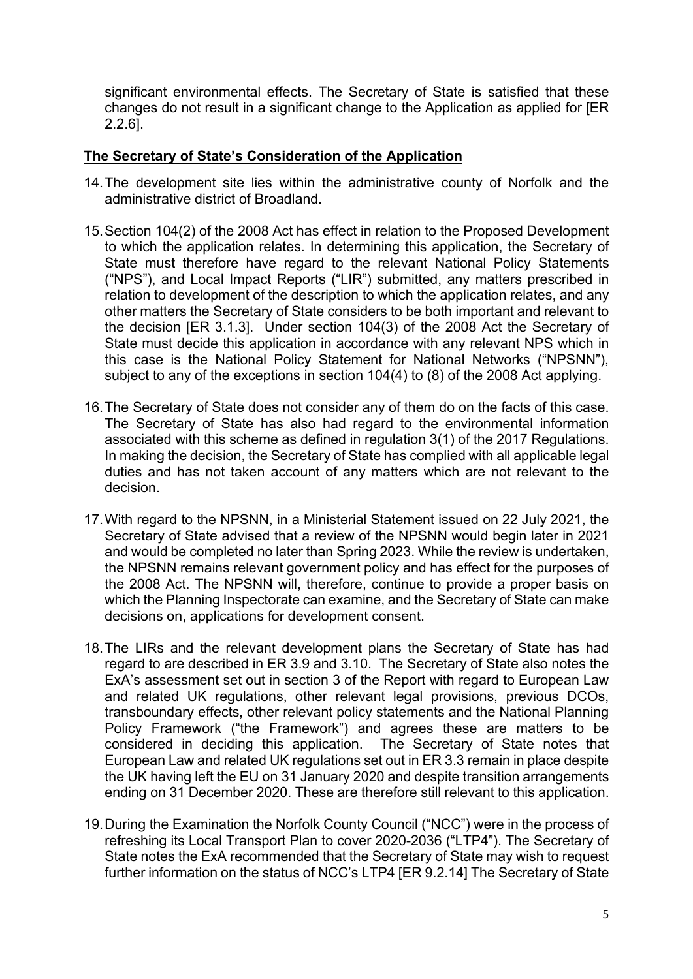significant environmental effects. The Secretary of State is satisfied that these changes do not result in a significant change to the Application as applied for [ER 2.2.6].

## **The Secretary of State's Consideration of the Application**

- 14.The development site lies within the administrative county of Norfolk and the administrative district of Broadland.
- 15. Section 104(2) of the 2008 Act has effect in relation to the Proposed Development to which the application relates. In determining this application, the Secretary of State must therefore have regard to the relevant National Policy Statements ("NPS"), and Local Impact Reports ("LIR") submitted, any matters prescribed in relation to development of the description to which the application relates, and any other matters the Secretary of State considers to be both important and relevant to the decision [ER 3.1.3]. Under section 104(3) of the 2008 Act the Secretary of State must decide this application in accordance with any relevant NPS which in this case is the National Policy Statement for National Networks ("NPSNN"), subject to any of the exceptions in section 104(4) to (8) of the 2008 Act applying.
- 16.The Secretary of State does not consider any of them do on the facts of this case. The Secretary of State has also had regard to the environmental information associated with this scheme as defined in regulation 3(1) of the 2017 Regulations. In making the decision, the Secretary of State has complied with all applicable legal duties and has not taken account of any matters which are not relevant to the decision.
- 17.With regard to the NPSNN, in a Ministerial Statement issued on 22 July 2021, the Secretary of State advised that a review of the NPSNN would begin later in 2021 and would be completed no later than Spring 2023. While the review is undertaken, the NPSNN remains relevant government policy and has effect for the purposes of the 2008 Act. The NPSNN will, therefore, continue to provide a proper basis on which the Planning Inspectorate can examine, and the Secretary of State can make decisions on, applications for development consent.
- 18.The LIRs and the relevant development plans the Secretary of State has had regard to are described in ER 3.9 and 3.10. The Secretary of State also notes the ExA's assessment set out in section 3 of the Report with regard to European Law and related UK regulations, other relevant legal provisions, previous DCOs, transboundary effects, other relevant policy statements and the National Planning Policy Framework ("the Framework") and agrees these are matters to be considered in deciding this application. The Secretary of State notes that European Law and related UK regulations set out in ER 3.3 remain in place despite the UK having left the EU on 31 January 2020 and despite transition arrangements ending on 31 December 2020. These are therefore still relevant to this application.
- 19.During the Examination the Norfolk County Council ("NCC") were in the process of refreshing its Local Transport Plan to cover 2020-2036 ("LTP4"). The Secretary of State notes the ExA recommended that the Secretary of State may wish to request further information on the status of NCC's LTP4 [ER 9.2.14] The Secretary of State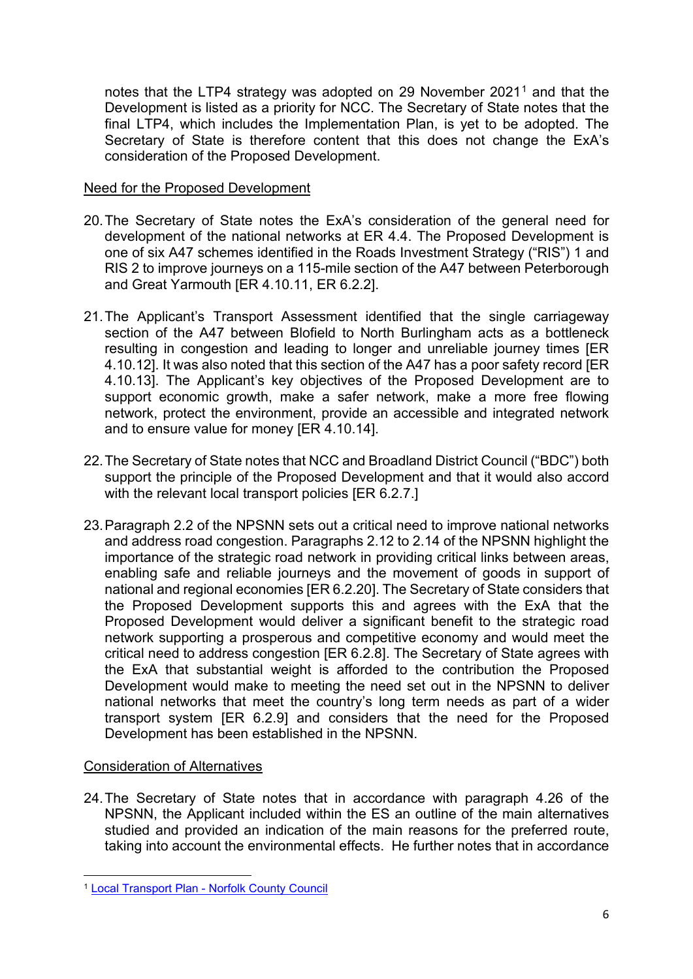notes that the LTP4 strategy was adopted on 29 November 202[1](#page-5-0)<sup>1</sup> and that the Development is listed as a priority for NCC. The Secretary of State notes that the final LTP4, which includes the Implementation Plan, is yet to be adopted. The Secretary of State is therefore content that this does not change the ExA's consideration of the Proposed Development.

### Need for the Proposed Development

- 20.The Secretary of State notes the ExA's consideration of the general need for development of the national networks at ER 4.4. The Proposed Development is one of six A47 schemes identified in the Roads Investment Strategy ("RIS") 1 and RIS 2 to improve journeys on a 115-mile section of the A47 between Peterborough and Great Yarmouth [ER 4.10.11, ER 6.2.2].
- 21.The Applicant's Transport Assessment identified that the single carriageway section of the A47 between Blofield to North Burlingham acts as a bottleneck resulting in congestion and leading to longer and unreliable journey times [ER 4.10.12]. It was also noted that this section of the A47 has a poor safety record [ER 4.10.13]. The Applicant's key objectives of the Proposed Development are to support economic growth, make a safer network, make a more free flowing network, protect the environment, provide an accessible and integrated network and to ensure value for money [ER 4.10.14].
- 22.The Secretary of State notes that NCC and Broadland District Council ("BDC") both support the principle of the Proposed Development and that it would also accord with the relevant local transport policies [ER 6.2.7.]
- 23.Paragraph 2.2 of the NPSNN sets out a critical need to improve national networks and address road congestion. Paragraphs 2.12 to 2.14 of the NPSNN highlight the importance of the strategic road network in providing critical links between areas, enabling safe and reliable journeys and the movement of goods in support of national and regional economies [ER 6.2.20]. The Secretary of State considers that the Proposed Development supports this and agrees with the ExA that the Proposed Development would deliver a significant benefit to the strategic road network supporting a prosperous and competitive economy and would meet the critical need to address congestion [ER 6.2.8]. The Secretary of State agrees with the ExA that substantial weight is afforded to the contribution the Proposed Development would make to meeting the need set out in the NPSNN to deliver national networks that meet the country's long term needs as part of a wider transport system [ER 6.2.9] and considers that the need for the Proposed Development has been established in the NPSNN.

# Consideration of Alternatives

24.The Secretary of State notes that in accordance with paragraph 4.26 of the NPSNN, the Applicant included within the ES an outline of the main alternatives studied and provided an indication of the main reasons for the preferred route, taking into account the environmental effects. He further notes that in accordance

<span id="page-5-0"></span><sup>1</sup> [Local Transport Plan - Norfolk County Council](https://www.norfolk.gov.uk/what-we-do-and-how-we-work/policy-performance-and-partnerships/policies-and-strategies/roads-and-travel-policies/local-transport-plan)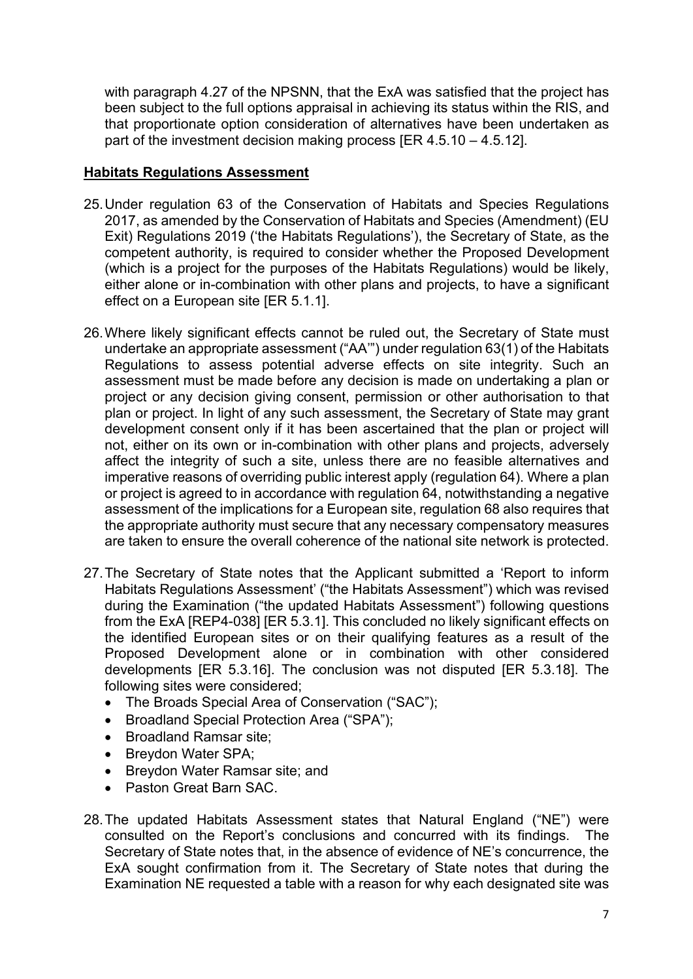with paragraph 4.27 of the NPSNN, that the ExA was satisfied that the project has been subject to the full options appraisal in achieving its status within the RIS, and that proportionate option consideration of alternatives have been undertaken as part of the investment decision making process  $[ER 4.5.10 - 4.5.12]$ .

### **Habitats Regulations Assessment**

- 25.Under regulation 63 of the Conservation of Habitats and Species Regulations 2017, as amended by the Conservation of Habitats and Species (Amendment) (EU Exit) Regulations 2019 ('the Habitats Regulations'), the Secretary of State, as the competent authority, is required to consider whether the Proposed Development (which is a project for the purposes of the Habitats Regulations) would be likely, either alone or in-combination with other plans and projects, to have a significant effect on a European site [ER 5.1.1].
- 26.Where likely significant effects cannot be ruled out, the Secretary of State must undertake an appropriate assessment ("AA'") under regulation 63(1) of the Habitats Regulations to assess potential adverse effects on site integrity. Such an assessment must be made before any decision is made on undertaking a plan or project or any decision giving consent, permission or other authorisation to that plan or project. In light of any such assessment, the Secretary of State may grant development consent only if it has been ascertained that the plan or project will not, either on its own or in-combination with other plans and projects, adversely affect the integrity of such a site, unless there are no feasible alternatives and imperative reasons of overriding public interest apply (regulation 64). Where a plan or project is agreed to in accordance with regulation 64, notwithstanding a negative assessment of the implications for a European site, regulation 68 also requires that the appropriate authority must secure that any necessary compensatory measures are taken to ensure the overall coherence of the national site network is protected.
- 27.The Secretary of State notes that the Applicant submitted a 'Report to inform Habitats Regulations Assessment' ("the Habitats Assessment") which was revised during the Examination ("the updated Habitats Assessment") following questions from the ExA [REP4-038] [ER 5.3.1]. This concluded no likely significant effects on the identified European sites or on their qualifying features as a result of the Proposed Development alone or in combination with other considered developments [ER 5.3.16]. The conclusion was not disputed [ER 5.3.18]. The following sites were considered;
	- The Broads Special Area of Conservation ("SAC");
	- Broadland Special Protection Area ("SPA");
	- Broadland Ramsar site;
	- Breydon Water SPA;
	- Breydon Water Ramsar site; and
	- Paston Great Barn SAC.
- 28.The updated Habitats Assessment states that Natural England ("NE") were consulted on the Report's conclusions and concurred with its findings. The Secretary of State notes that, in the absence of evidence of NE's concurrence, the ExA sought confirmation from it. The Secretary of State notes that during the Examination NE requested a table with a reason for why each designated site was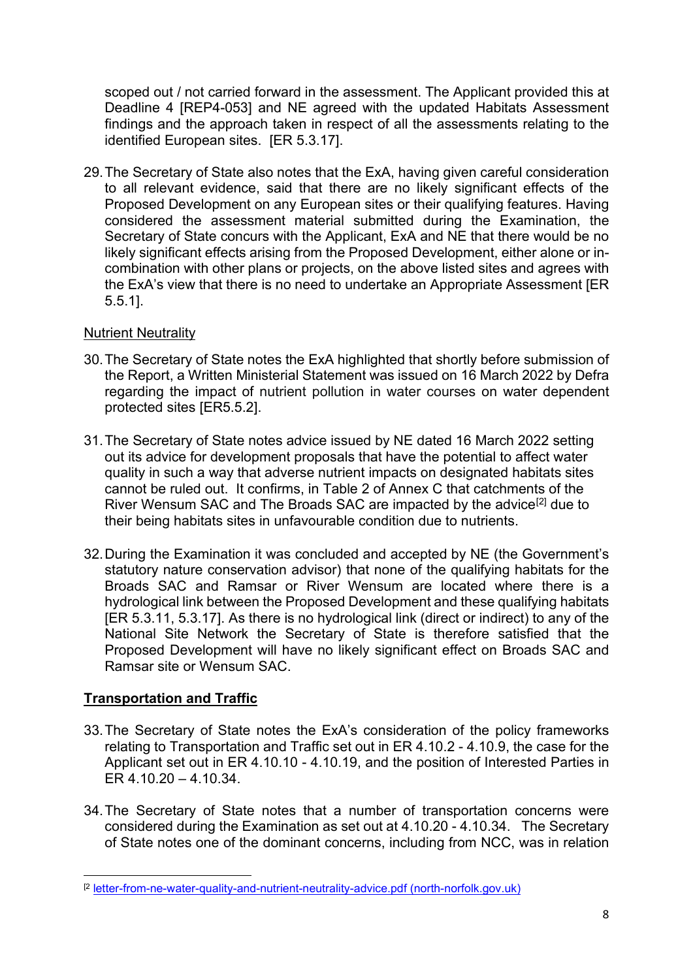scoped out / not carried forward in the assessment. The Applicant provided this at Deadline 4 [REP4-053] and NE agreed with the updated Habitats Assessment findings and the approach taken in respect of all the assessments relating to the identified European sites. [ER 5.3.17].

29.The Secretary of State also notes that the ExA, having given careful consideration to all relevant evidence, said that there are no likely significant effects of the Proposed Development on any European sites or their qualifying features. Having considered the assessment material submitted during the Examination, the Secretary of State concurs with the Applicant, ExA and NE that there would be no likely significant effects arising from the Proposed Development, either alone or incombination with other plans or projects, on the above listed sites and agrees with the ExA's view that there is no need to undertake an Appropriate Assessment [ER 5.5.1].

### Nutrient Neutrality

- 30.The Secretary of State notes the ExA highlighted that shortly before submission of the Report, a Written Ministerial Statement was issued on 16 March 2022 by Defra regarding the impact of nutrient pollution in water courses on water dependent protected sites [ER5.5.2].
- 31.The Secretary of State notes advice issued by NE dated 16 March 2022 setting out its advice for development proposals that have the potential to affect water quality in such a way that adverse nutrient impacts on designated habitats sites cannot be ruled out. It confirms, in Table 2 of Annex C that catchments of the River Wensum SAC and The Broads SAC are impacted by the advice<sup>[\[2\]](#page-7-0)</sup> due to their being habitats sites in unfavourable condition due to nutrients.
- 32.During the Examination it was concluded and accepted by NE (the Government's statutory nature conservation advisor) that none of the qualifying habitats for the Broads SAC and Ramsar or River Wensum are located where there is a hydrological link between the Proposed Development and these qualifying habitats [ER 5.3.11, 5.3.17]. As there is no hydrological link (direct or indirect) to any of the National Site Network the Secretary of State is therefore satisfied that the Proposed Development will have no likely significant effect on Broads SAC and Ramsar site or Wensum SAC.

# **Transportation and Traffic**

- 33.The Secretary of State notes the ExA's consideration of the policy frameworks relating to Transportation and Traffic set out in ER 4.10.2 - 4.10.9, the case for the Applicant set out in ER 4.10.10 - 4.10.19, and the position of Interested Parties in ER 4.10.20 – 4.10.34.
- 34.The Secretary of State notes that a number of transportation concerns were considered during the Examination as set out at 4.10.20 - 4.10.34. The Secretary of State notes one of the dominant concerns, including from NCC, was in relation

<span id="page-7-0"></span><sup>[2</sup> [letter-from-ne-water-quality-and-nutrient-neutrality-advice.pdf \(north-norfolk.gov.uk\)](https://eur02.safelinks.protection.outlook.com/?url=https%3A%2F%2Fwww.north-norfolk.gov.uk%2Fmedia%2F7687%2Fletter-from-ne-water-quality-and-nutrient-neutrality-advice.pdf&data=05%7C01%7CRachel.Dominey%40dft.gov.uk%7Cb3387f1b3b884f9ec25208da54335512%7C28b782fb41e148eabfc3ad7558ce7136%7C0%7C0%7C637914876682700502%7CUnknown%7CTWFpbGZsb3d8eyJWIjoiMC4wLjAwMDAiLCJQIjoiV2luMzIiLCJBTiI6Ik1haWwiLCJXVCI6Mn0%3D%7C3000%7C%7C%7C&sdata=GmUo%2FThbDTCk%2B%2BjtGEjqWfmYIWYb47hg17asRuKo28A%3D&reserved=0)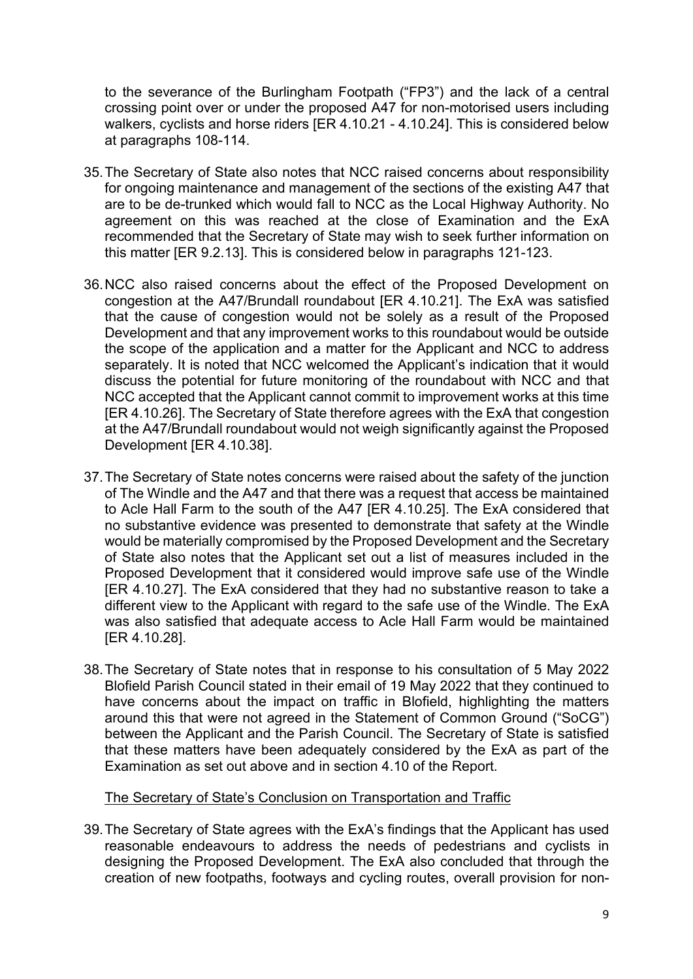to the severance of the Burlingham Footpath ("FP3") and the lack of a central crossing point over or under the proposed A47 for non-motorised users including walkers, cyclists and horse riders [ER 4.10.21 - 4.10.24]. This is considered below at paragraphs 108-114.

- 35.The Secretary of State also notes that NCC raised concerns about responsibility for ongoing maintenance and management of the sections of the existing A47 that are to be de-trunked which would fall to NCC as the Local Highway Authority. No agreement on this was reached at the close of Examination and the ExA recommended that the Secretary of State may wish to seek further information on this matter [ER 9.2.13]. This is considered below in paragraphs 121-123.
- 36.NCC also raised concerns about the effect of the Proposed Development on congestion at the A47/Brundall roundabout [ER 4.10.21]. The ExA was satisfied that the cause of congestion would not be solely as a result of the Proposed Development and that any improvement works to this roundabout would be outside the scope of the application and a matter for the Applicant and NCC to address separately. It is noted that NCC welcomed the Applicant's indication that it would discuss the potential for future monitoring of the roundabout with NCC and that NCC accepted that the Applicant cannot commit to improvement works at this time [ER 4.10.26]. The Secretary of State therefore agrees with the ExA that congestion at the A47/Brundall roundabout would not weigh significantly against the Proposed Development [ER 4.10.38].
- 37.The Secretary of State notes concerns were raised about the safety of the junction of The Windle and the A47 and that there was a request that access be maintained to Acle Hall Farm to the south of the A47 [ER 4.10.25]. The ExA considered that no substantive evidence was presented to demonstrate that safety at the Windle would be materially compromised by the Proposed Development and the Secretary of State also notes that the Applicant set out a list of measures included in the Proposed Development that it considered would improve safe use of the Windle [ER 4.10.27]. The ExA considered that they had no substantive reason to take a different view to the Applicant with regard to the safe use of the Windle. The ExA was also satisfied that adequate access to Acle Hall Farm would be maintained [ER 4.10.28].
- 38.The Secretary of State notes that in response to his consultation of 5 May 2022 Blofield Parish Council stated in their email of 19 May 2022 that they continued to have concerns about the impact on traffic in Blofield, highlighting the matters around this that were not agreed in the Statement of Common Ground ("SoCG") between the Applicant and the Parish Council. The Secretary of State is satisfied that these matters have been adequately considered by the ExA as part of the Examination as set out above and in section 4.10 of the Report.

#### The Secretary of State's Conclusion on Transportation and Traffic

39.The Secretary of State agrees with the ExA's findings that the Applicant has used reasonable endeavours to address the needs of pedestrians and cyclists in designing the Proposed Development. The ExA also concluded that through the creation of new footpaths, footways and cycling routes, overall provision for non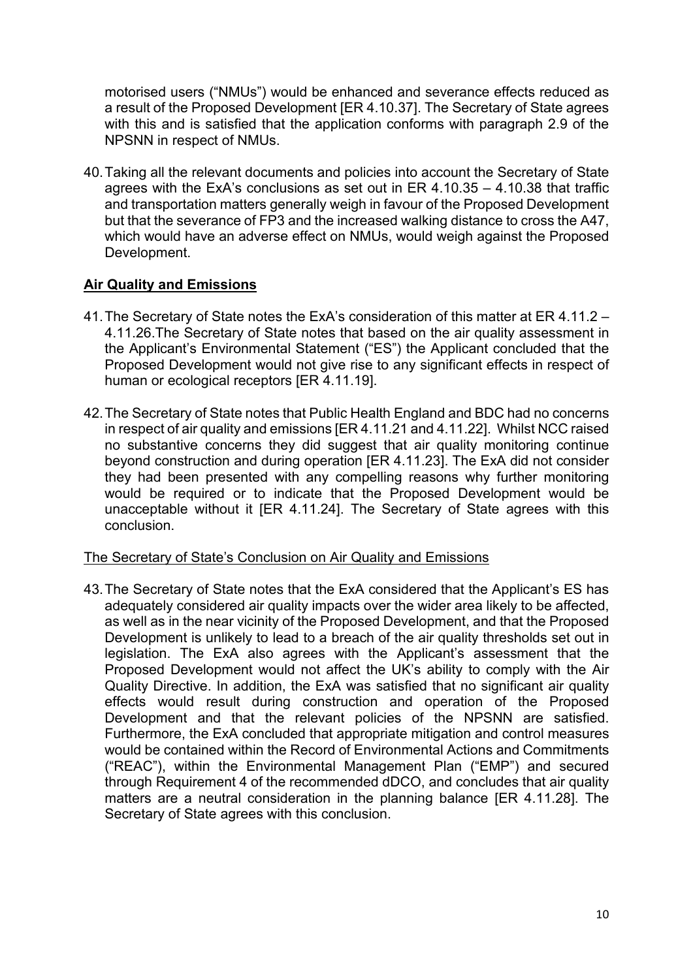motorised users ("NMUs") would be enhanced and severance effects reduced as a result of the Proposed Development [ER 4.10.37]. The Secretary of State agrees with this and is satisfied that the application conforms with paragraph 2.9 of the NPSNN in respect of NMUs.

40.Taking all the relevant documents and policies into account the Secretary of State agrees with the ExA's conclusions as set out in ER 4.10.35 – 4.10.38 that traffic and transportation matters generally weigh in favour of the Proposed Development but that the severance of FP3 and the increased walking distance to cross the A47, which would have an adverse effect on NMUs, would weigh against the Proposed Development.

### **Air Quality and Emissions**

- 41.The Secretary of State notes the ExA's consideration of this matter at ER 4.11.2 4.11.26.The Secretary of State notes that based on the air quality assessment in the Applicant's Environmental Statement ("ES") the Applicant concluded that the Proposed Development would not give rise to any significant effects in respect of human or ecological receptors [ER 4.11.19].
- 42.The Secretary of State notes that Public Health England and BDC had no concerns in respect of air quality and emissions [ER 4.11.21 and 4.11.22]. Whilst NCC raised no substantive concerns they did suggest that air quality monitoring continue beyond construction and during operation [ER 4.11.23]. The ExA did not consider they had been presented with any compelling reasons why further monitoring would be required or to indicate that the Proposed Development would be unacceptable without it [ER 4.11.24]. The Secretary of State agrees with this conclusion.

### The Secretary of State's Conclusion on Air Quality and Emissions

43.The Secretary of State notes that the ExA considered that the Applicant's ES has adequately considered air quality impacts over the wider area likely to be affected, as well as in the near vicinity of the Proposed Development, and that the Proposed Development is unlikely to lead to a breach of the air quality thresholds set out in legislation. The ExA also agrees with the Applicant's assessment that the Proposed Development would not affect the UK's ability to comply with the Air Quality Directive. In addition, the ExA was satisfied that no significant air quality effects would result during construction and operation of the Proposed Development and that the relevant policies of the NPSNN are satisfied. Furthermore, the ExA concluded that appropriate mitigation and control measures would be contained within the Record of Environmental Actions and Commitments ("REAC"), within the Environmental Management Plan ("EMP") and secured through Requirement 4 of the recommended dDCO, and concludes that air quality matters are a neutral consideration in the planning balance [ER 4.11.28]. The Secretary of State agrees with this conclusion.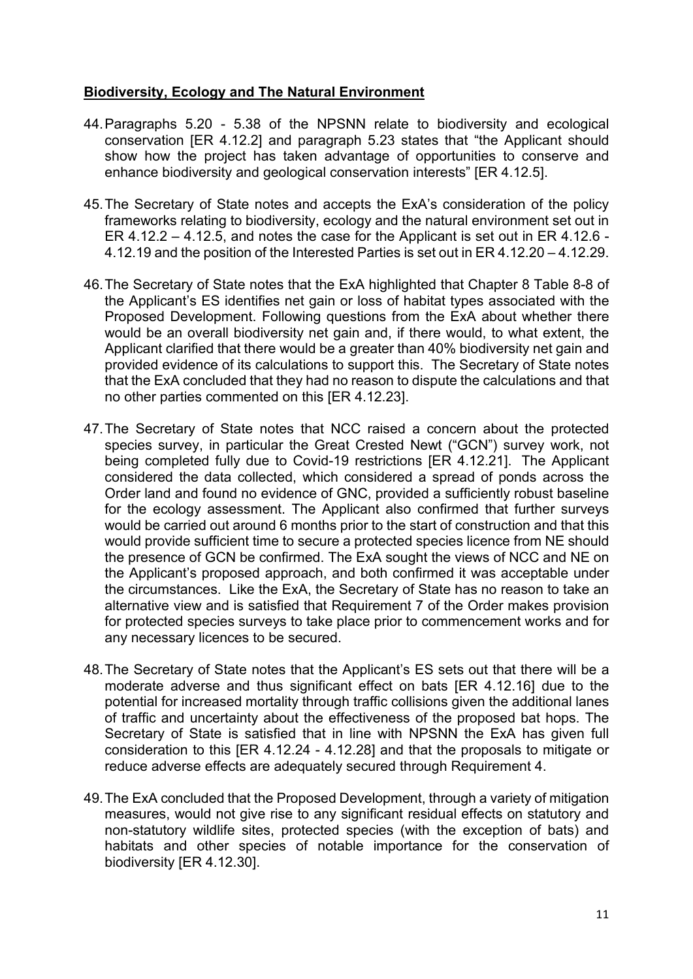## **Biodiversity, Ecology and The Natural Environment**

- 44.Paragraphs 5.20 5.38 of the NPSNN relate to biodiversity and ecological conservation [ER 4.12.2] and paragraph 5.23 states that "the Applicant should show how the project has taken advantage of opportunities to conserve and enhance biodiversity and geological conservation interests" [ER 4.12.5].
- 45.The Secretary of State notes and accepts the ExA's consideration of the policy frameworks relating to biodiversity, ecology and the natural environment set out in ER 4.12.2 – 4.12.5, and notes the case for the Applicant is set out in ER 4.12.6 - 4.12.19 and the position of the Interested Parties is set out in ER 4.12.20 – 4.12.29.
- 46.The Secretary of State notes that the ExA highlighted that Chapter 8 Table 8-8 of the Applicant's ES identifies net gain or loss of habitat types associated with the Proposed Development. Following questions from the ExA about whether there would be an overall biodiversity net gain and, if there would, to what extent, the Applicant clarified that there would be a greater than 40% biodiversity net gain and provided evidence of its calculations to support this. The Secretary of State notes that the ExA concluded that they had no reason to dispute the calculations and that no other parties commented on this [ER 4.12.23].
- 47.The Secretary of State notes that NCC raised a concern about the protected species survey, in particular the Great Crested Newt ("GCN") survey work, not being completed fully due to Covid-19 restrictions [ER 4.12.21]. The Applicant considered the data collected, which considered a spread of ponds across the Order land and found no evidence of GNC, provided a sufficiently robust baseline for the ecology assessment. The Applicant also confirmed that further surveys would be carried out around 6 months prior to the start of construction and that this would provide sufficient time to secure a protected species licence from NE should the presence of GCN be confirmed. The ExA sought the views of NCC and NE on the Applicant's proposed approach, and both confirmed it was acceptable under the circumstances. Like the ExA, the Secretary of State has no reason to take an alternative view and is satisfied that Requirement 7 of the Order makes provision for protected species surveys to take place prior to commencement works and for any necessary licences to be secured.
- 48.The Secretary of State notes that the Applicant's ES sets out that there will be a moderate adverse and thus significant effect on bats [ER 4.12.16] due to the potential for increased mortality through traffic collisions given the additional lanes of traffic and uncertainty about the effectiveness of the proposed bat hops. The Secretary of State is satisfied that in line with NPSNN the ExA has given full consideration to this [ER 4.12.24 - 4.12.28] and that the proposals to mitigate or reduce adverse effects are adequately secured through Requirement 4.
- 49.The ExA concluded that the Proposed Development, through a variety of mitigation measures, would not give rise to any significant residual effects on statutory and non-statutory wildlife sites, protected species (with the exception of bats) and habitats and other species of notable importance for the conservation of biodiversity [ER 4.12.30].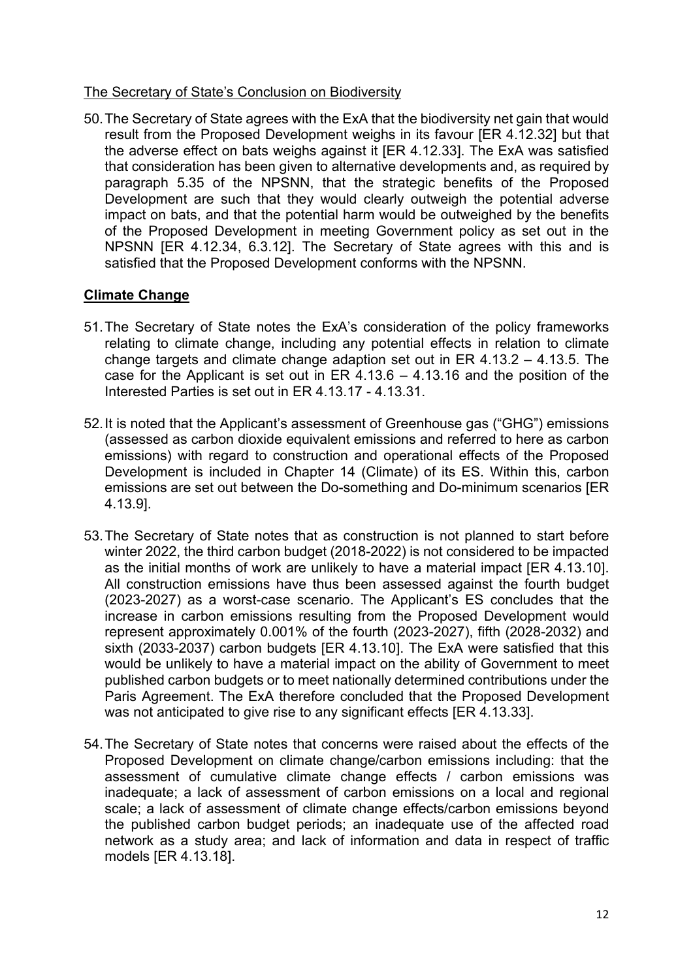### The Secretary of State's Conclusion on Biodiversity

50.The Secretary of State agrees with the ExA that the biodiversity net gain that would result from the Proposed Development weighs in its favour [ER 4.12.32] but that the adverse effect on bats weighs against it [ER 4.12.33]. The ExA was satisfied that consideration has been given to alternative developments and, as required by paragraph 5.35 of the NPSNN, that the strategic benefits of the Proposed Development are such that they would clearly outweigh the potential adverse impact on bats, and that the potential harm would be outweighed by the benefits of the Proposed Development in meeting Government policy as set out in the NPSNN [ER 4.12.34, 6.3.12]. The Secretary of State agrees with this and is satisfied that the Proposed Development conforms with the NPSNN.

# **Climate Change**

- 51.The Secretary of State notes the ExA's consideration of the policy frameworks relating to climate change, including any potential effects in relation to climate change targets and climate change adaption set out in ER 4.13.2 – 4.13.5. The case for the Applicant is set out in ER 4.13.6 – 4.13.16 and the position of the Interested Parties is set out in ER 4.13.17 - 4.13.31.
- 52.It is noted that the Applicant's assessment of Greenhouse gas ("GHG") emissions (assessed as carbon dioxide equivalent emissions and referred to here as carbon emissions) with regard to construction and operational effects of the Proposed Development is included in Chapter 14 (Climate) of its ES. Within this, carbon emissions are set out between the Do-something and Do-minimum scenarios [ER 4.13.9].
- 53.The Secretary of State notes that as construction is not planned to start before winter 2022, the third carbon budget (2018-2022) is not considered to be impacted as the initial months of work are unlikely to have a material impact [ER 4.13.10]. All construction emissions have thus been assessed against the fourth budget (2023-2027) as a worst-case scenario. The Applicant's ES concludes that the increase in carbon emissions resulting from the Proposed Development would represent approximately 0.001% of the fourth (2023-2027), fifth (2028-2032) and sixth (2033-2037) carbon budgets [ER 4.13.10]. The ExA were satisfied that this would be unlikely to have a material impact on the ability of Government to meet published carbon budgets or to meet nationally determined contributions under the Paris Agreement. The ExA therefore concluded that the Proposed Development was not anticipated to give rise to any significant effects [ER 4.13.33].
- 54.The Secretary of State notes that concerns were raised about the effects of the Proposed Development on climate change/carbon emissions including: that the assessment of cumulative climate change effects / carbon emissions was inadequate; a lack of assessment of carbon emissions on a local and regional scale; a lack of assessment of climate change effects/carbon emissions beyond the published carbon budget periods; an inadequate use of the affected road network as a study area; and lack of information and data in respect of traffic models [ER 4.13.18].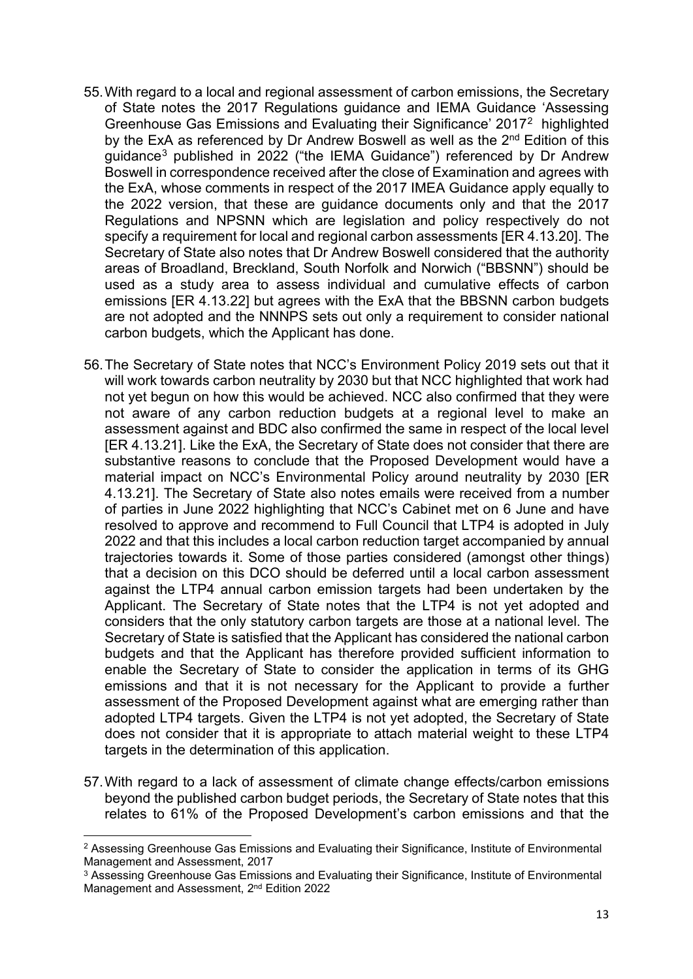- 55.With regard to a local and regional assessment of carbon emissions, the Secretary of State notes the 2017 Regulations guidance and IEMA Guidance 'Assessing Greenhouse Gas Emissions and Evaluating their Significance' 2017[2](#page-12-0) highlighted by the ExA as referenced by Dr Andrew Boswell as well as the 2<sup>nd</sup> Edition of this guidance[3](#page-12-1) published in 2022 ("the IEMA Guidance") referenced by Dr Andrew Boswell in correspondence received after the close of Examination and agrees with the ExA, whose comments in respect of the 2017 IMEA Guidance apply equally to the 2022 version, that these are guidance documents only and that the 2017 Regulations and NPSNN which are legislation and policy respectively do not specify a requirement for local and regional carbon assessments [ER 4.13.20]. The Secretary of State also notes that Dr Andrew Boswell considered that the authority areas of Broadland, Breckland, South Norfolk and Norwich ("BBSNN") should be used as a study area to assess individual and cumulative effects of carbon emissions [ER 4.13.22] but agrees with the ExA that the BBSNN carbon budgets are not adopted and the NNNPS sets out only a requirement to consider national carbon budgets, which the Applicant has done.
- 56.The Secretary of State notes that NCC's Environment Policy 2019 sets out that it will work towards carbon neutrality by 2030 but that NCC highlighted that work had not yet begun on how this would be achieved. NCC also confirmed that they were not aware of any carbon reduction budgets at a regional level to make an assessment against and BDC also confirmed the same in respect of the local level [ER 4.13.21]. Like the ExA, the Secretary of State does not consider that there are substantive reasons to conclude that the Proposed Development would have a material impact on NCC's Environmental Policy around neutrality by 2030 [ER 4.13.21]. The Secretary of State also notes emails were received from a number of parties in June 2022 highlighting that NCC's Cabinet met on 6 June and have resolved to approve and recommend to Full Council that LTP4 is adopted in July 2022 and that this includes a local carbon reduction target accompanied by annual trajectories towards it. Some of those parties considered (amongst other things) that a decision on this DCO should be deferred until a local carbon assessment against the LTP4 annual carbon emission targets had been undertaken by the Applicant. The Secretary of State notes that the LTP4 is not yet adopted and considers that the only statutory carbon targets are those at a national level. The Secretary of State is satisfied that the Applicant has considered the national carbon budgets and that the Applicant has therefore provided sufficient information to enable the Secretary of State to consider the application in terms of its GHG emissions and that it is not necessary for the Applicant to provide a further assessment of the Proposed Development against what are emerging rather than adopted LTP4 targets. Given the LTP4 is not yet adopted, the Secretary of State does not consider that it is appropriate to attach material weight to these LTP4 targets in the determination of this application.
- 57.With regard to a lack of assessment of climate change effects/carbon emissions beyond the published carbon budget periods, the Secretary of State notes that this relates to 61% of the Proposed Development's carbon emissions and that the

<span id="page-12-0"></span><sup>&</sup>lt;sup>2</sup> Assessing Greenhouse Gas Emissions and Evaluating their Significance, Institute of Environmental Management and Assessment, 2017

<span id="page-12-1"></span><sup>&</sup>lt;sup>3</sup> Assessing Greenhouse Gas Emissions and Evaluating their Significance, Institute of Environmental Management and Assessment, 2<sup>nd</sup> Edition 2022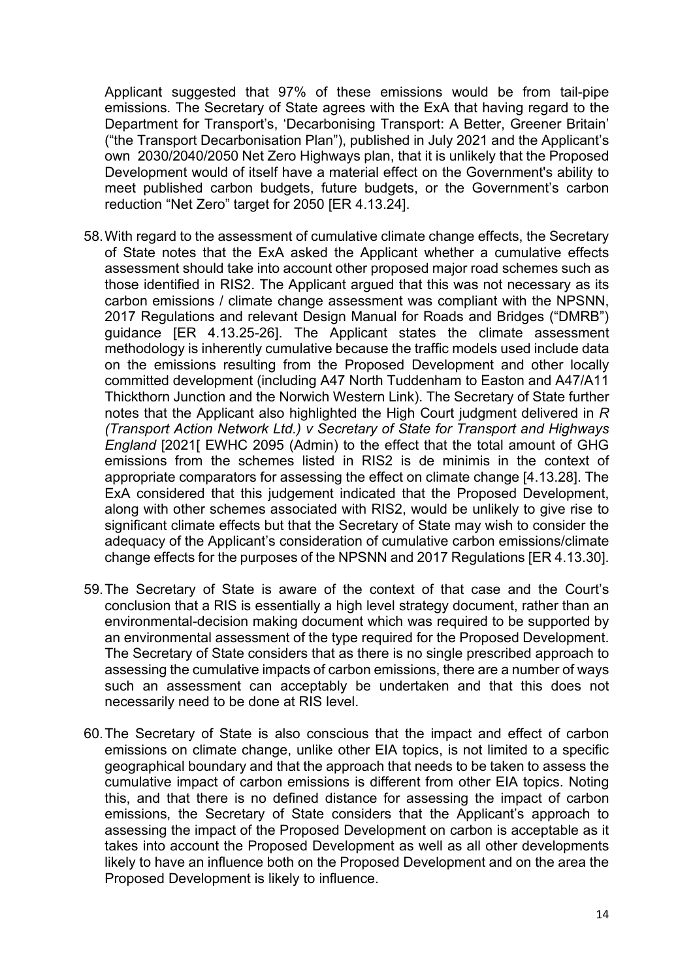Applicant suggested that 97% of these emissions would be from tail-pipe emissions. The Secretary of State agrees with the ExA that having regard to the Department for Transport's, 'Decarbonising Transport: A Better, Greener Britain' ("the Transport Decarbonisation Plan"), published in July 2021 and the Applicant's own 2030/2040/2050 Net Zero Highways plan, that it is unlikely that the Proposed Development would of itself have a material effect on the Government's ability to meet published carbon budgets, future budgets, or the Government's carbon reduction "Net Zero" target for 2050 [ER 4.13.24].

- 58.With regard to the assessment of cumulative climate change effects, the Secretary of State notes that the ExA asked the Applicant whether a cumulative effects assessment should take into account other proposed major road schemes such as those identified in RIS2. The Applicant argued that this was not necessary as its carbon emissions / climate change assessment was compliant with the NPSNN, 2017 Regulations and relevant Design Manual for Roads and Bridges ("DMRB") guidance [ER 4.13.25-26]. The Applicant states the climate assessment methodology is inherently cumulative because the traffic models used include data on the emissions resulting from the Proposed Development and other locally committed development (including A47 North Tuddenham to Easton and A47/A11 Thickthorn Junction and the Norwich Western Link). The Secretary of State further notes that the Applicant also highlighted the High Court judgment delivered in *R (Transport Action Network Ltd.) v Secretary of State for Transport and Highways England* [2021[ EWHC 2095 (Admin) to the effect that the total amount of GHG emissions from the schemes listed in RIS2 is de minimis in the context of appropriate comparators for assessing the effect on climate change [4.13.28]. The ExA considered that this judgement indicated that the Proposed Development, along with other schemes associated with RIS2, would be unlikely to give rise to significant climate effects but that the Secretary of State may wish to consider the adequacy of the Applicant's consideration of cumulative carbon emissions/climate change effects for the purposes of the NPSNN and 2017 Regulations [ER 4.13.30].
- 59.The Secretary of State is aware of the context of that case and the Court's conclusion that a RIS is essentially a high level strategy document, rather than an environmental-decision making document which was required to be supported by an environmental assessment of the type required for the Proposed Development. The Secretary of State considers that as there is no single prescribed approach to assessing the cumulative impacts of carbon emissions, there are a number of ways such an assessment can acceptably be undertaken and that this does not necessarily need to be done at RIS level.
- 60.The Secretary of State is also conscious that the impact and effect of carbon emissions on climate change, unlike other EIA topics, is not limited to a specific geographical boundary and that the approach that needs to be taken to assess the cumulative impact of carbon emissions is different from other EIA topics. Noting this, and that there is no defined distance for assessing the impact of carbon emissions, the Secretary of State considers that the Applicant's approach to assessing the impact of the Proposed Development on carbon is acceptable as it takes into account the Proposed Development as well as all other developments likely to have an influence both on the Proposed Development and on the area the Proposed Development is likely to influence.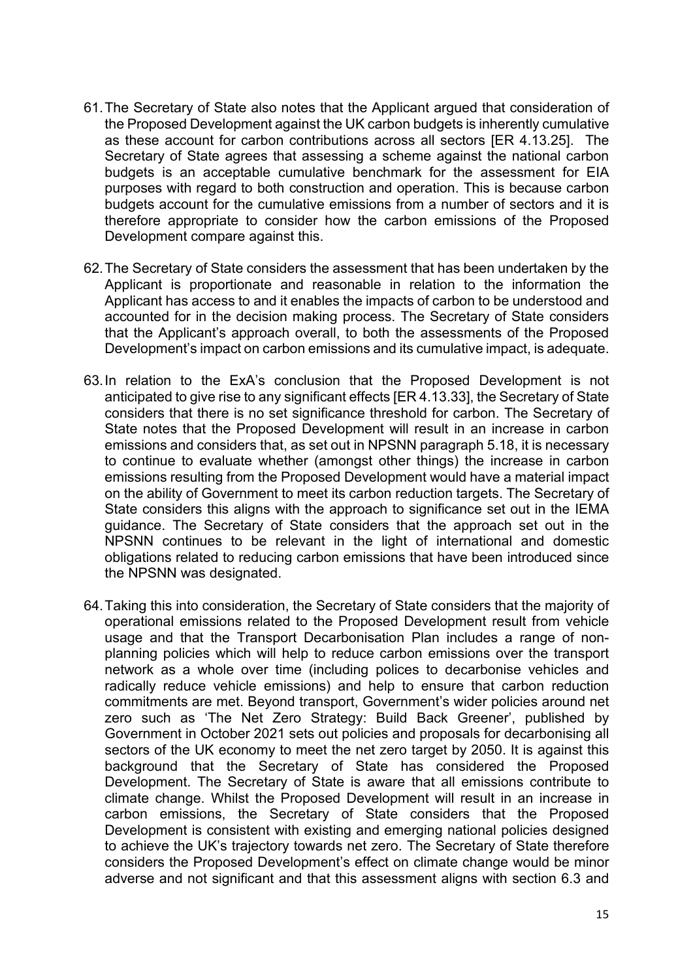- 61.The Secretary of State also notes that the Applicant argued that consideration of the Proposed Development against the UK carbon budgets is inherently cumulative as these account for carbon contributions across all sectors [ER 4.13.25]. The Secretary of State agrees that assessing a scheme against the national carbon budgets is an acceptable cumulative benchmark for the assessment for EIA purposes with regard to both construction and operation. This is because carbon budgets account for the cumulative emissions from a number of sectors and it is therefore appropriate to consider how the carbon emissions of the Proposed Development compare against this.
- 62.The Secretary of State considers the assessment that has been undertaken by the Applicant is proportionate and reasonable in relation to the information the Applicant has access to and it enables the impacts of carbon to be understood and accounted for in the decision making process. The Secretary of State considers that the Applicant's approach overall, to both the assessments of the Proposed Development's impact on carbon emissions and its cumulative impact, is adequate.
- 63.In relation to the ExA's conclusion that the Proposed Development is not anticipated to give rise to any significant effects [ER 4.13.33], the Secretary of State considers that there is no set significance threshold for carbon. The Secretary of State notes that the Proposed Development will result in an increase in carbon emissions and considers that, as set out in NPSNN paragraph 5.18, it is necessary to continue to evaluate whether (amongst other things) the increase in carbon emissions resulting from the Proposed Development would have a material impact on the ability of Government to meet its carbon reduction targets. The Secretary of State considers this aligns with the approach to significance set out in the IEMA guidance. The Secretary of State considers that the approach set out in the NPSNN continues to be relevant in the light of international and domestic obligations related to reducing carbon emissions that have been introduced since the NPSNN was designated.
- 64.Taking this into consideration, the Secretary of State considers that the majority of operational emissions related to the Proposed Development result from vehicle usage and that the Transport Decarbonisation Plan includes a range of nonplanning policies which will help to reduce carbon emissions over the transport network as a whole over time (including polices to decarbonise vehicles and radically reduce vehicle emissions) and help to ensure that carbon reduction commitments are met. Beyond transport, Government's wider policies around net zero such as 'The Net Zero Strategy: Build Back Greener', published by Government in October 2021 sets out policies and proposals for decarbonising all sectors of the UK economy to meet the net zero target by 2050. It is against this background that the Secretary of State has considered the Proposed Development. The Secretary of State is aware that all emissions contribute to climate change. Whilst the Proposed Development will result in an increase in carbon emissions, the Secretary of State considers that the Proposed Development is consistent with existing and emerging national policies designed to achieve the UK's trajectory towards net zero. The Secretary of State therefore considers the Proposed Development's effect on climate change would be minor adverse and not significant and that this assessment aligns with section 6.3 and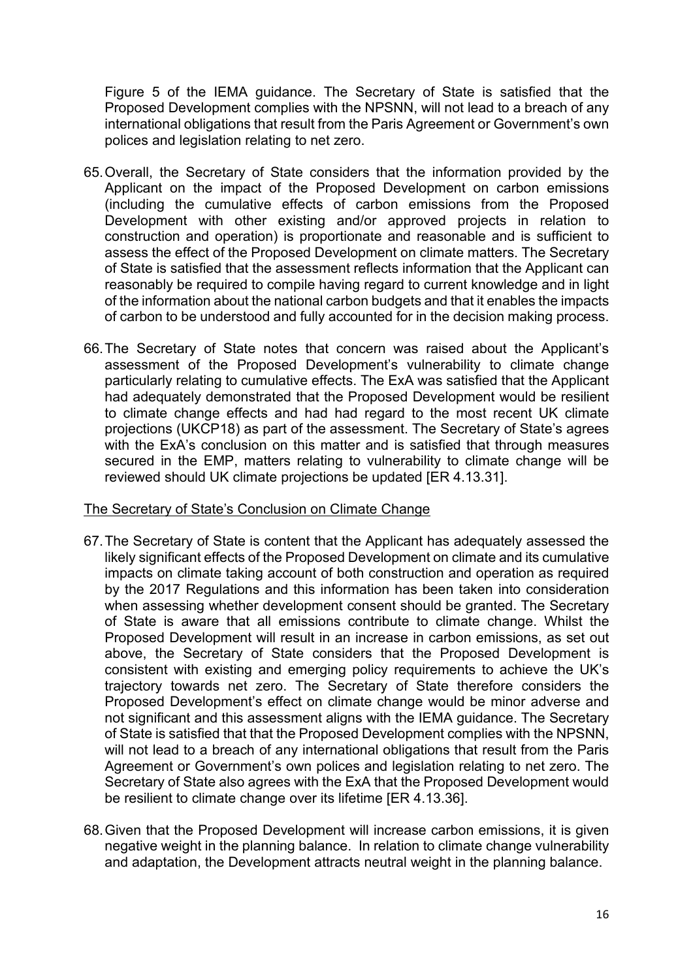Figure 5 of the IEMA guidance. The Secretary of State is satisfied that the Proposed Development complies with the NPSNN, will not lead to a breach of any international obligations that result from the Paris Agreement or Government's own polices and legislation relating to net zero.

- 65.Overall, the Secretary of State considers that the information provided by the Applicant on the impact of the Proposed Development on carbon emissions (including the cumulative effects of carbon emissions from the Proposed Development with other existing and/or approved projects in relation to construction and operation) is proportionate and reasonable and is sufficient to assess the effect of the Proposed Development on climate matters. The Secretary of State is satisfied that the assessment reflects information that the Applicant can reasonably be required to compile having regard to current knowledge and in light of the information about the national carbon budgets and that it enables the impacts of carbon to be understood and fully accounted for in the decision making process.
- 66.The Secretary of State notes that concern was raised about the Applicant's assessment of the Proposed Development's vulnerability to climate change particularly relating to cumulative effects. The ExA was satisfied that the Applicant had adequately demonstrated that the Proposed Development would be resilient to climate change effects and had had regard to the most recent UK climate projections (UKCP18) as part of the assessment. The Secretary of State's agrees with the ExA's conclusion on this matter and is satisfied that through measures secured in the EMP, matters relating to vulnerability to climate change will be reviewed should UK climate projections be updated [ER 4.13.31].

### The Secretary of State's Conclusion on Climate Change

- 67.The Secretary of State is content that the Applicant has adequately assessed the likely significant effects of the Proposed Development on climate and its cumulative impacts on climate taking account of both construction and operation as required by the 2017 Regulations and this information has been taken into consideration when assessing whether development consent should be granted. The Secretary of State is aware that all emissions contribute to climate change. Whilst the Proposed Development will result in an increase in carbon emissions, as set out above, the Secretary of State considers that the Proposed Development is consistent with existing and emerging policy requirements to achieve the UK's trajectory towards net zero. The Secretary of State therefore considers the Proposed Development's effect on climate change would be minor adverse and not significant and this assessment aligns with the IEMA guidance. The Secretary of State is satisfied that that the Proposed Development complies with the NPSNN, will not lead to a breach of any international obligations that result from the Paris Agreement or Government's own polices and legislation relating to net zero. The Secretary of State also agrees with the ExA that the Proposed Development would be resilient to climate change over its lifetime [ER 4.13.36].
- 68.Given that the Proposed Development will increase carbon emissions, it is given negative weight in the planning balance. In relation to climate change vulnerability and adaptation, the Development attracts neutral weight in the planning balance.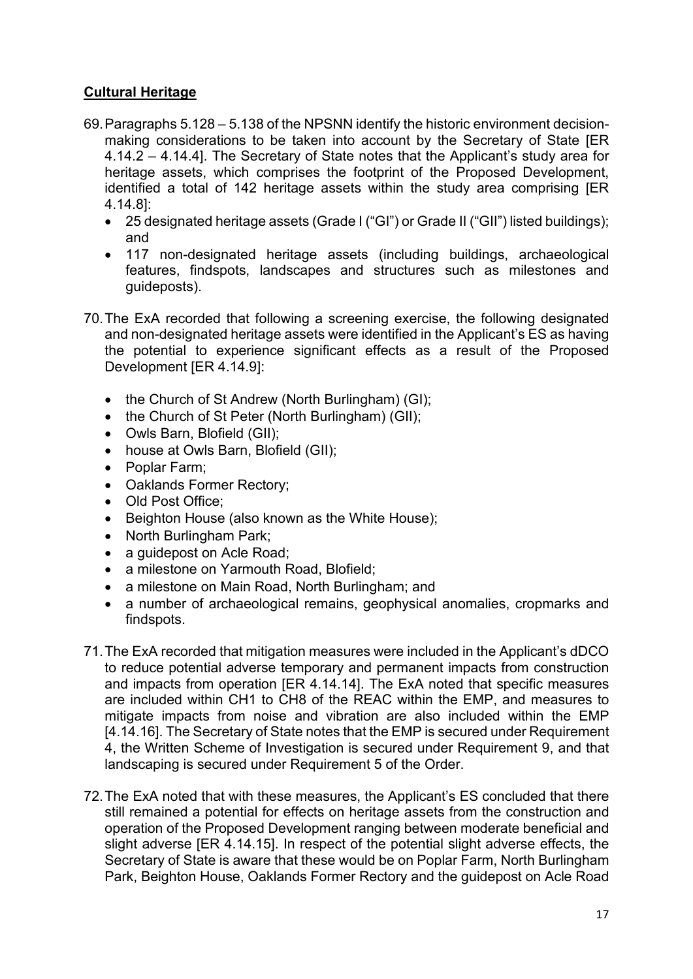# **Cultural Heritage**

- 69.Paragraphs 5.128 5.138 of the NPSNN identify the historic environment decisionmaking considerations to be taken into account by the Secretary of State [ER 4.14.2 – 4.14.4]. The Secretary of State notes that the Applicant's study area for heritage assets, which comprises the footprint of the Proposed Development, identified a total of 142 heritage assets within the study area comprising [ER 4.14.8]:
	- 25 designated heritage assets (Grade I ("GI") or Grade II ("GII") listed buildings); and
	- 117 non-designated heritage assets (including buildings, archaeological features, findspots, landscapes and structures such as milestones and guideposts).
- 70.The ExA recorded that following a screening exercise, the following designated and non-designated heritage assets were identified in the Applicant's ES as having the potential to experience significant effects as a result of the Proposed Development [ER 4.14.9]:
	- the Church of St Andrew (North Burlingham) (GI);
	- the Church of St Peter (North Burlingham) (GII);
	- Owls Barn, Blofield (GII);
	- house at Owls Barn, Blofield (GII);
	- Poplar Farm;
	- Oaklands Former Rectory;
	- Old Post Office:
	- Beighton House (also known as the White House);
	- North Burlingham Park;
	- a guidepost on Acle Road;
	- a milestone on Yarmouth Road, Blofield:
	- a milestone on Main Road, North Burlingham; and
	- a number of archaeological remains, geophysical anomalies, cropmarks and findspots.
- 71.The ExA recorded that mitigation measures were included in the Applicant's dDCO to reduce potential adverse temporary and permanent impacts from construction and impacts from operation [ER 4.14.14]. The ExA noted that specific measures are included within CH1 to CH8 of the REAC within the EMP, and measures to mitigate impacts from noise and vibration are also included within the EMP [4.14.16]. The Secretary of State notes that the EMP is secured under Requirement 4, the Written Scheme of Investigation is secured under Requirement 9, and that landscaping is secured under Requirement 5 of the Order.
- 72.The ExA noted that with these measures, the Applicant's ES concluded that there still remained a potential for effects on heritage assets from the construction and operation of the Proposed Development ranging between moderate beneficial and slight adverse [ER 4.14.15]. In respect of the potential slight adverse effects, the Secretary of State is aware that these would be on Poplar Farm, North Burlingham Park, Beighton House, Oaklands Former Rectory and the guidepost on Acle Road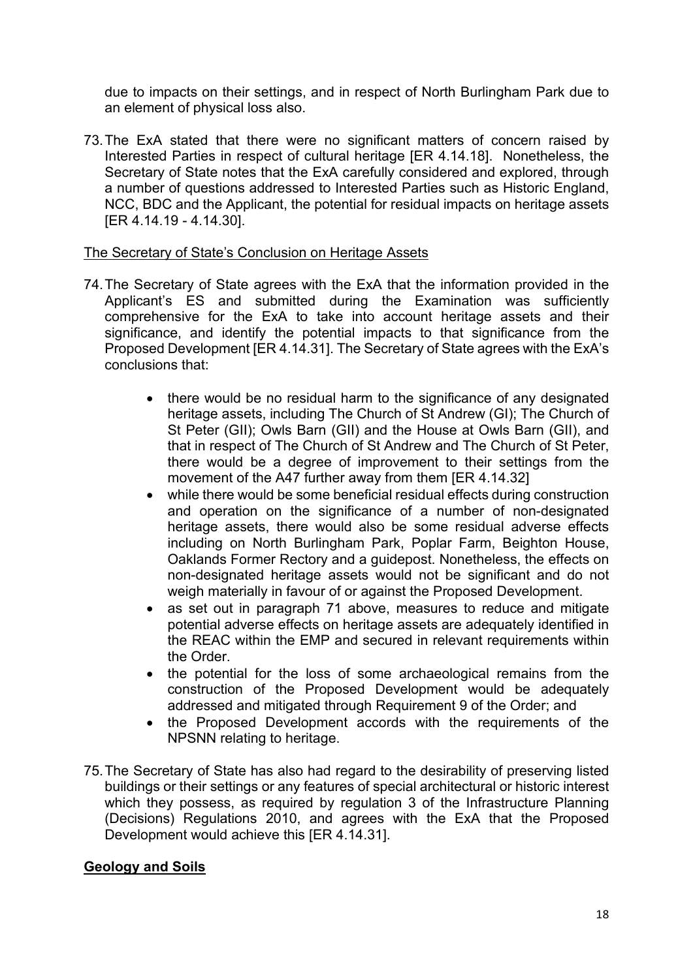due to impacts on their settings, and in respect of North Burlingham Park due to an element of physical loss also.

73.The ExA stated that there were no significant matters of concern raised by Interested Parties in respect of cultural heritage [ER 4.14.18]. Nonetheless, the Secretary of State notes that the ExA carefully considered and explored, through a number of questions addressed to Interested Parties such as Historic England, NCC, BDC and the Applicant, the potential for residual impacts on heritage assets [ER 4.14.19 - 4.14.30].

### The Secretary of State's Conclusion on Heritage Assets

- 74.The Secretary of State agrees with the ExA that the information provided in the Applicant's ES and submitted during the Examination was sufficiently comprehensive for the ExA to take into account heritage assets and their significance, and identify the potential impacts to that significance from the Proposed Development [ER 4.14.31]. The Secretary of State agrees with the ExA's conclusions that:
	- there would be no residual harm to the significance of any designated heritage assets, including The Church of St Andrew (GI); The Church of St Peter (GII); Owls Barn (GII) and the House at Owls Barn (GII), and that in respect of The Church of St Andrew and The Church of St Peter, there would be a degree of improvement to their settings from the movement of the A47 further away from them [ER 4.14.32]
	- while there would be some beneficial residual effects during construction and operation on the significance of a number of non-designated heritage assets, there would also be some residual adverse effects including on North Burlingham Park, Poplar Farm, Beighton House, Oaklands Former Rectory and a guidepost. Nonetheless, the effects on non-designated heritage assets would not be significant and do not weigh materially in favour of or against the Proposed Development.
	- as set out in paragraph 71 above, measures to reduce and mitigate potential adverse effects on heritage assets are adequately identified in the REAC within the EMP and secured in relevant requirements within the Order.
	- the potential for the loss of some archaeological remains from the construction of the Proposed Development would be adequately addressed and mitigated through Requirement 9 of the Order; and
	- the Proposed Development accords with the requirements of the NPSNN relating to heritage.
- 75.The Secretary of State has also had regard to the desirability of preserving listed buildings or their settings or any features of special architectural or historic interest which they possess, as required by regulation 3 of the Infrastructure Planning (Decisions) Regulations 2010, and agrees with the ExA that the Proposed Development would achieve this [ER 4.14.31].

### **Geology and Soils**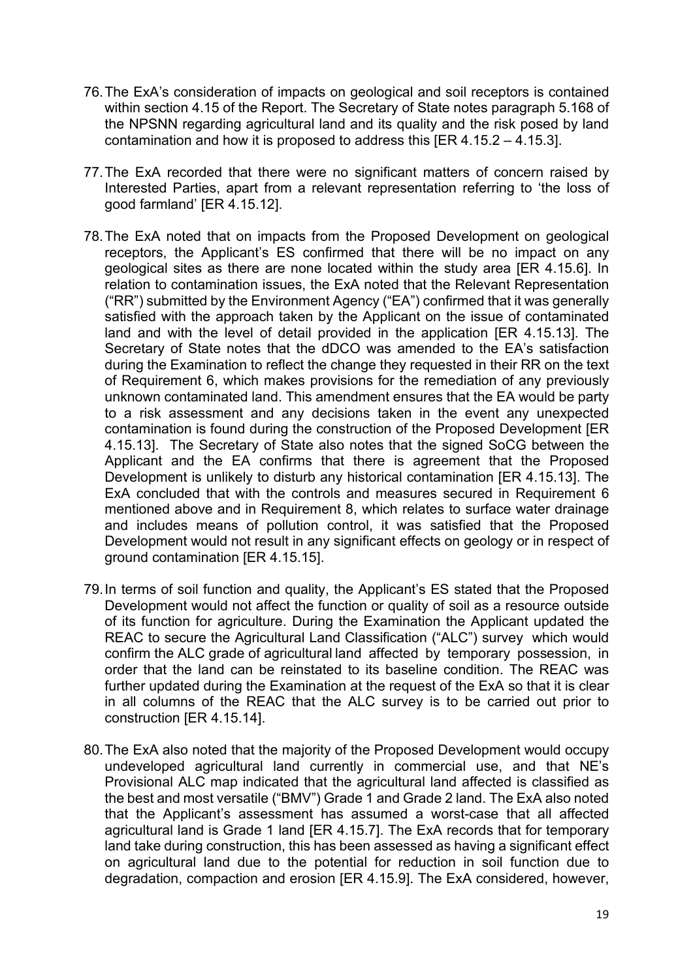- 76.The ExA's consideration of impacts on geological and soil receptors is contained within section 4.15 of the Report. The Secretary of State notes paragraph 5.168 of the NPSNN regarding agricultural land and its quality and the risk posed by land contamination and how it is proposed to address this [ER 4.15.2 – 4.15.3].
- 77.The ExA recorded that there were no significant matters of concern raised by Interested Parties, apart from a relevant representation referring to 'the loss of good farmland' [ER 4.15.12].
- 78.The ExA noted that on impacts from the Proposed Development on geological receptors, the Applicant's ES confirmed that there will be no impact on any geological sites as there are none located within the study area [ER 4.15.6]. In relation to contamination issues, the ExA noted that the Relevant Representation ("RR") submitted by the Environment Agency ("EA") confirmed that it was generally satisfied with the approach taken by the Applicant on the issue of contaminated land and with the level of detail provided in the application [ER 4.15.13]. The Secretary of State notes that the dDCO was amended to the EA's satisfaction during the Examination to reflect the change they requested in their RR on the text of Requirement 6, which makes provisions for the remediation of any previously unknown contaminated land. This amendment ensures that the EA would be party to a risk assessment and any decisions taken in the event any unexpected contamination is found during the construction of the Proposed Development [ER 4.15.13]. The Secretary of State also notes that the signed SoCG between the Applicant and the EA confirms that there is agreement that the Proposed Development is unlikely to disturb any historical contamination [ER 4.15.13]. The ExA concluded that with the controls and measures secured in Requirement 6 mentioned above and in Requirement 8, which relates to surface water drainage and includes means of pollution control, it was satisfied that the Proposed Development would not result in any significant effects on geology or in respect of ground contamination [ER 4.15.15].
- 79.In terms of soil function and quality, the Applicant's ES stated that the Proposed Development would not affect the function or quality of soil as a resource outside of its function for agriculture. During the Examination the Applicant updated the REAC to secure the Agricultural Land Classification ("ALC") survey which would confirm the ALC grade of agricultural land affected by temporary possession, in order that the land can be reinstated to its baseline condition. The REAC was further updated during the Examination at the request of the ExA so that it is clear in all columns of the REAC that the ALC survey is to be carried out prior to construction [ER 4.15.14].
- 80.The ExA also noted that the majority of the Proposed Development would occupy undeveloped agricultural land currently in commercial use, and that NE's Provisional ALC map indicated that the agricultural land affected is classified as the best and most versatile ("BMV") Grade 1 and Grade 2 land. The ExA also noted that the Applicant's assessment has assumed a worst-case that all affected agricultural land is Grade 1 land [ER 4.15.7]. The ExA records that for temporary land take during construction, this has been assessed as having a significant effect on agricultural land due to the potential for reduction in soil function due to degradation, compaction and erosion [ER 4.15.9]. The ExA considered, however,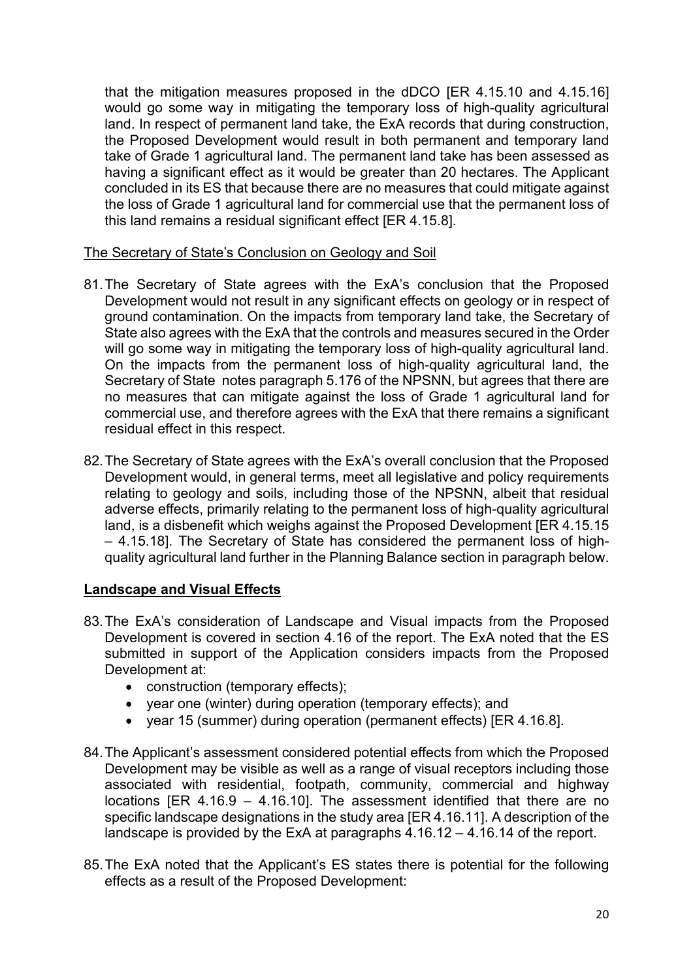that the mitigation measures proposed in the dDCO [ER 4.15.10 and 4.15.16] would go some way in mitigating the temporary loss of high-quality agricultural land. In respect of permanent land take, the ExA records that during construction, the Proposed Development would result in both permanent and temporary land take of Grade 1 agricultural land. The permanent land take has been assessed as having a significant effect as it would be greater than 20 hectares. The Applicant concluded in its ES that because there are no measures that could mitigate against the loss of Grade 1 agricultural land for commercial use that the permanent loss of this land remains a residual significant effect [ER 4.15.8].

#### The Secretary of State's Conclusion on Geology and Soil

- 81.The Secretary of State agrees with the ExA's conclusion that the Proposed Development would not result in any significant effects on geology or in respect of ground contamination. On the impacts from temporary land take, the Secretary of State also agrees with the ExA that the controls and measures secured in the Order will go some way in mitigating the temporary loss of high-quality agricultural land. On the impacts from the permanent loss of high-quality agricultural land, the Secretary of State notes paragraph 5.176 of the NPSNN, but agrees that there are no measures that can mitigate against the loss of Grade 1 agricultural land for commercial use, and therefore agrees with the ExA that there remains a significant residual effect in this respect.
- 82.The Secretary of State agrees with the ExA's overall conclusion that the Proposed Development would, in general terms, meet all legislative and policy requirements relating to geology and soils, including those of the NPSNN, albeit that residual adverse effects, primarily relating to the permanent loss of high-quality agricultural land, is a disbenefit which weighs against the Proposed Development [ER 4.15.15 – 4.15.18]. The Secretary of State has considered the permanent loss of highquality agricultural land further in the Planning Balance section in paragraph below.

### **Landscape and Visual Effects**

- 83.The ExA's consideration of Landscape and Visual impacts from the Proposed Development is covered in section 4.16 of the report. The ExA noted that the ES submitted in support of the Application considers impacts from the Proposed Development at:
	- construction (temporary effects);
	- year one (winter) during operation (temporary effects); and
	- year 15 (summer) during operation (permanent effects) [ER 4.16.8].
- 84.The Applicant's assessment considered potential effects from which the Proposed Development may be visible as well as a range of visual receptors including those associated with residential, footpath, community, commercial and highway locations [ER 4.16.9 – 4.16.10]. The assessment identified that there are no specific landscape designations in the study area [ER 4.16.11]. A description of the landscape is provided by the ExA at paragraphs 4.16.12 – 4.16.14 of the report.
- 85.The ExA noted that the Applicant's ES states there is potential for the following effects as a result of the Proposed Development: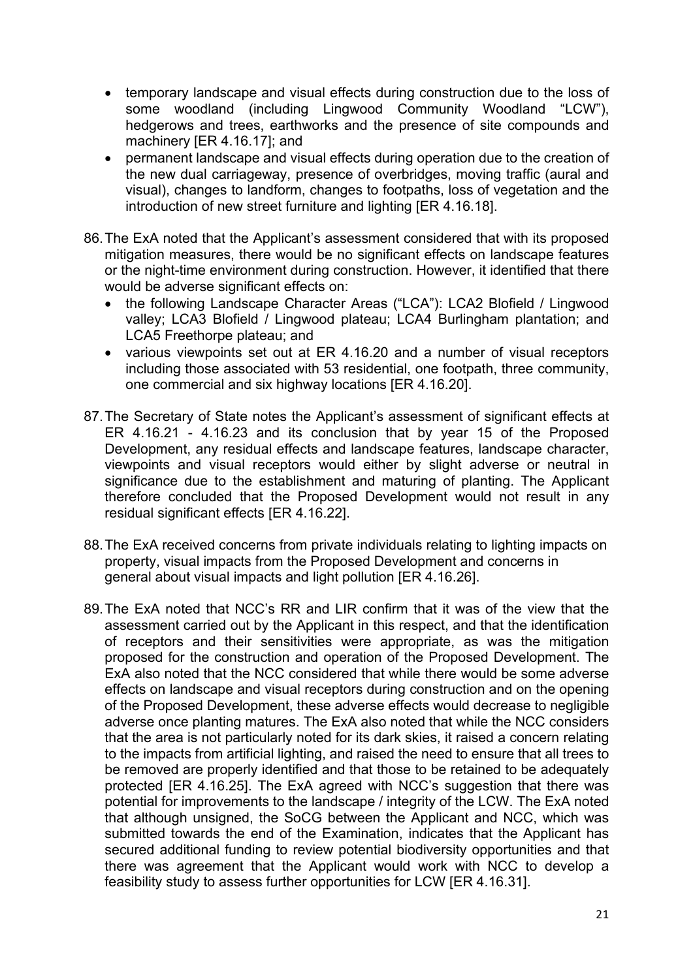- temporary landscape and visual effects during construction due to the loss of some woodland (including Lingwood Community Woodland "LCW"), hedgerows and trees, earthworks and the presence of site compounds and machinery [ER 4.16.17]; and
- permanent landscape and visual effects during operation due to the creation of the new dual carriageway, presence of overbridges, moving traffic (aural and visual), changes to landform, changes to footpaths, loss of vegetation and the introduction of new street furniture and lighting [ER 4.16.18].
- 86.The ExA noted that the Applicant's assessment considered that with its proposed mitigation measures, there would be no significant effects on landscape features or the night-time environment during construction. However, it identified that there would be adverse significant effects on:
	- the following Landscape Character Areas ("LCA"): LCA2 Blofield / Lingwood valley; LCA3 Blofield / Lingwood plateau; LCA4 Burlingham plantation; and LCA5 Freethorpe plateau; and
	- various viewpoints set out at ER 4.16.20 and a number of visual receptors including those associated with 53 residential, one footpath, three community, one commercial and six highway locations [ER 4.16.20].
- 87.The Secretary of State notes the Applicant's assessment of significant effects at ER 4.16.21 - 4.16.23 and its conclusion that by year 15 of the Proposed Development, any residual effects and landscape features, landscape character, viewpoints and visual receptors would either by slight adverse or neutral in significance due to the establishment and maturing of planting. The Applicant therefore concluded that the Proposed Development would not result in any residual significant effects [ER 4.16.22].
- 88.The ExA received concerns from private individuals relating to lighting impacts on property, visual impacts from the Proposed Development and concerns in general about visual impacts and light pollution [ER 4.16.26].
- 89.The ExA noted that NCC's RR and LIR confirm that it was of the view that the assessment carried out by the Applicant in this respect, and that the identification of receptors and their sensitivities were appropriate, as was the mitigation proposed for the construction and operation of the Proposed Development. The ExA also noted that the NCC considered that while there would be some adverse effects on landscape and visual receptors during construction and on the opening of the Proposed Development, these adverse effects would decrease to negligible adverse once planting matures. The ExA also noted that while the NCC considers that the area is not particularly noted for its dark skies, it raised a concern relating to the impacts from artificial lighting, and raised the need to ensure that all trees to be removed are properly identified and that those to be retained to be adequately protected [ER 4.16.25]. The ExA agreed with NCC's suggestion that there was potential for improvements to the landscape / integrity of the LCW. The ExA noted that although unsigned, the SoCG between the Applicant and NCC, which was submitted towards the end of the Examination, indicates that the Applicant has secured additional funding to review potential biodiversity opportunities and that there was agreement that the Applicant would work with NCC to develop a feasibility study to assess further opportunities for LCW [ER 4.16.31].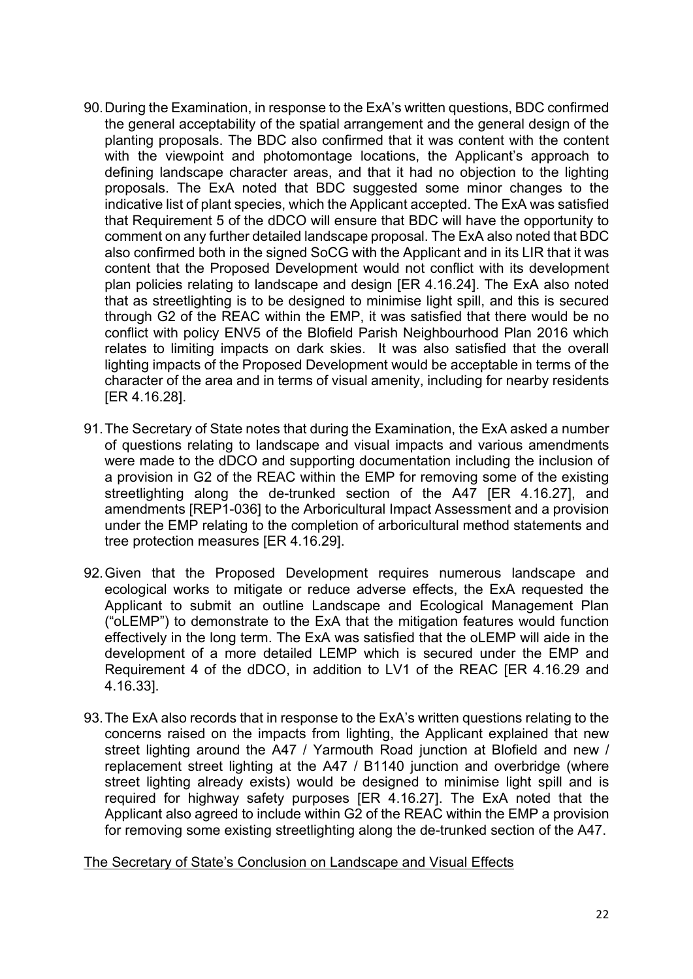- 90.During the Examination, in response to the ExA's written questions, BDC confirmed the general acceptability of the spatial arrangement and the general design of the planting proposals. The BDC also confirmed that it was content with the content with the viewpoint and photomontage locations, the Applicant's approach to defining landscape character areas, and that it had no objection to the lighting proposals. The ExA noted that BDC suggested some minor changes to the indicative list of plant species, which the Applicant accepted. The ExA was satisfied that Requirement 5 of the dDCO will ensure that BDC will have the opportunity to comment on any further detailed landscape proposal. The ExA also noted that BDC also confirmed both in the signed SoCG with the Applicant and in its LIR that it was content that the Proposed Development would not conflict with its development plan policies relating to landscape and design [ER 4.16.24]. The ExA also noted that as streetlighting is to be designed to minimise light spill, and this is secured through G2 of the REAC within the EMP, it was satisfied that there would be no conflict with policy ENV5 of the Blofield Parish Neighbourhood Plan 2016 which relates to limiting impacts on dark skies. It was also satisfied that the overall lighting impacts of the Proposed Development would be acceptable in terms of the character of the area and in terms of visual amenity, including for nearby residents [ER 4.16.28].
- 91.The Secretary of State notes that during the Examination, the ExA asked a number of questions relating to landscape and visual impacts and various amendments were made to the dDCO and supporting documentation including the inclusion of a provision in G2 of the REAC within the EMP for removing some of the existing streetlighting along the de-trunked section of the A47 [ER 4.16.27], and amendments [REP1-036] to the Arboricultural Impact Assessment and a provision under the EMP relating to the completion of arboricultural method statements and tree protection measures [ER 4.16.29].
- 92.Given that the Proposed Development requires numerous landscape and ecological works to mitigate or reduce adverse effects, the ExA requested the Applicant to submit an outline Landscape and Ecological Management Plan ("oLEMP") to demonstrate to the ExA that the mitigation features would function effectively in the long term. The ExA was satisfied that the oLEMP will aide in the development of a more detailed LEMP which is secured under the EMP and Requirement 4 of the dDCO, in addition to LV1 of the REAC [ER 4.16.29 and 4.16.33].
- 93.The ExA also records that in response to the ExA's written questions relating to the concerns raised on the impacts from lighting, the Applicant explained that new street lighting around the A47 / Yarmouth Road junction at Blofield and new / replacement street lighting at the A47 / B1140 junction and overbridge (where street lighting already exists) would be designed to minimise light spill and is required for highway safety purposes [ER 4.16.27]. The ExA noted that the Applicant also agreed to include within G2 of the REAC within the EMP a provision for removing some existing streetlighting along the de-trunked section of the A47.

The Secretary of State's Conclusion on Landscape and Visual Effects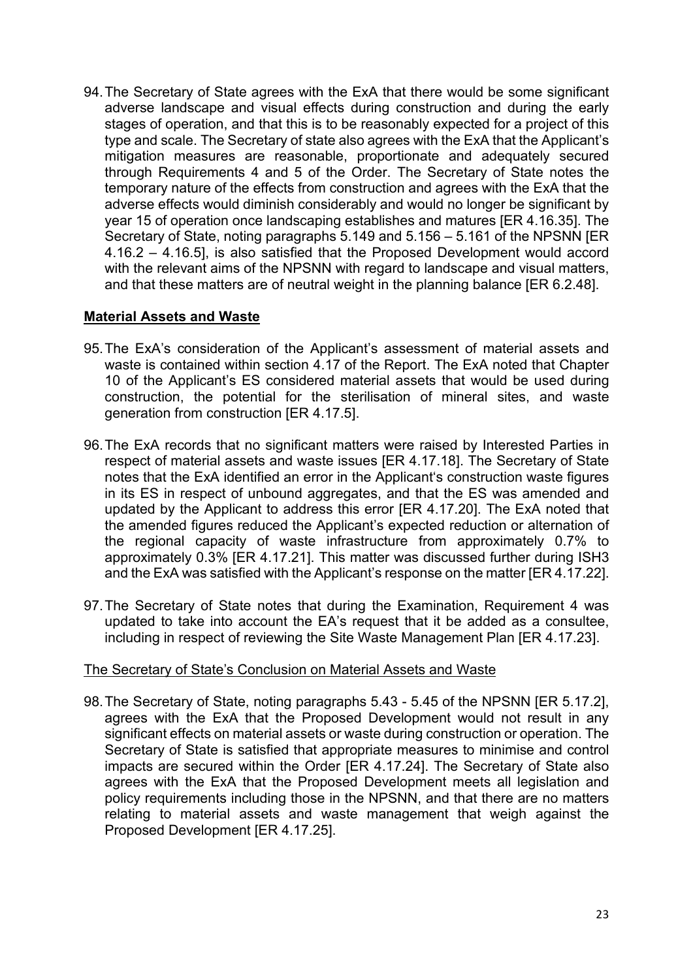94.The Secretary of State agrees with the ExA that there would be some significant adverse landscape and visual effects during construction and during the early stages of operation, and that this is to be reasonably expected for a project of this type and scale. The Secretary of state also agrees with the ExA that the Applicant's mitigation measures are reasonable, proportionate and adequately secured through Requirements 4 and 5 of the Order. The Secretary of State notes the temporary nature of the effects from construction and agrees with the ExA that the adverse effects would diminish considerably and would no longer be significant by year 15 of operation once landscaping establishes and matures [ER 4.16.35]. The Secretary of State, noting paragraphs 5.149 and 5.156 – 5.161 of the NPSNN [ER 4.16.2 – 4.16.5], is also satisfied that the Proposed Development would accord with the relevant aims of the NPSNN with regard to landscape and visual matters, and that these matters are of neutral weight in the planning balance [ER 6.2.48].

### **Material Assets and Waste**

- 95.The ExA's consideration of the Applicant's assessment of material assets and waste is contained within section 4.17 of the Report. The ExA noted that Chapter 10 of the Applicant's ES considered material assets that would be used during construction, the potential for the sterilisation of mineral sites, and waste generation from construction [ER 4.17.5].
- 96.The ExA records that no significant matters were raised by Interested Parties in respect of material assets and waste issues [ER 4.17.18]. The Secretary of State notes that the ExA identified an error in the Applicant's construction waste figures in its ES in respect of unbound aggregates, and that the ES was amended and updated by the Applicant to address this error [ER 4.17.20]. The ExA noted that the amended figures reduced the Applicant's expected reduction or alternation of the regional capacity of waste infrastructure from approximately 0.7% to approximately 0.3% [ER 4.17.21]. This matter was discussed further during ISH3 and the ExA was satisfied with the Applicant's response on the matter [ER 4.17.22].
- 97.The Secretary of State notes that during the Examination, Requirement 4 was updated to take into account the EA's request that it be added as a consultee, including in respect of reviewing the Site Waste Management Plan [ER 4.17.23].

### The Secretary of State's Conclusion on Material Assets and Waste

98.The Secretary of State, noting paragraphs 5.43 - 5.45 of the NPSNN [ER 5.17.2], agrees with the ExA that the Proposed Development would not result in any significant effects on material assets or waste during construction or operation. The Secretary of State is satisfied that appropriate measures to minimise and control impacts are secured within the Order [ER 4.17.24]. The Secretary of State also agrees with the ExA that the Proposed Development meets all legislation and policy requirements including those in the NPSNN, and that there are no matters relating to material assets and waste management that weigh against the Proposed Development [ER 4.17.25].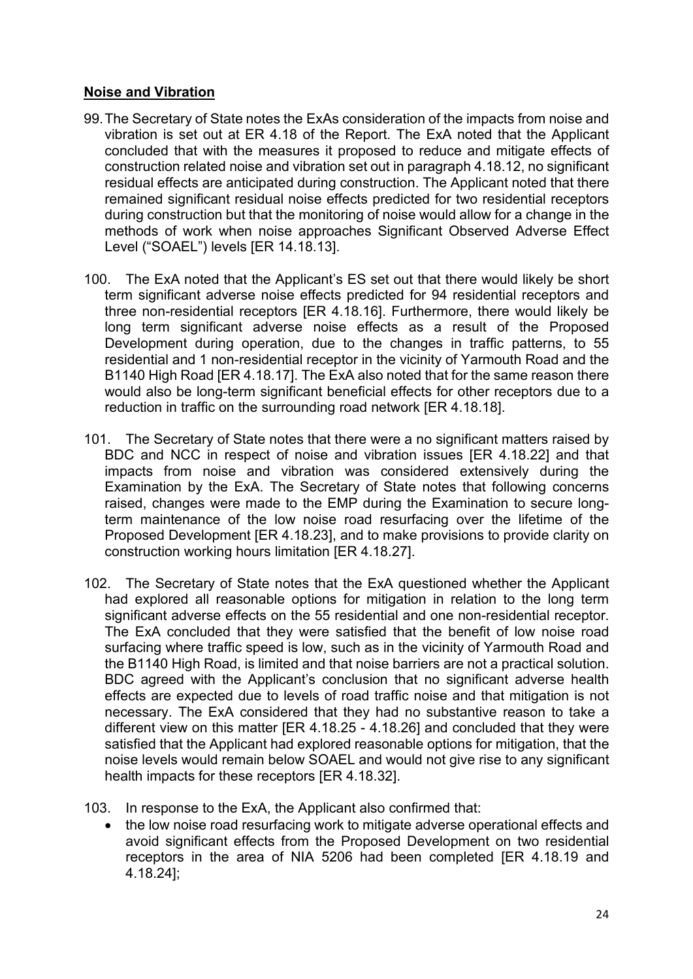### **Noise and Vibration**

- 99.The Secretary of State notes the ExAs consideration of the impacts from noise and vibration is set out at ER 4.18 of the Report. The ExA noted that the Applicant concluded that with the measures it proposed to reduce and mitigate effects of construction related noise and vibration set out in paragraph 4.18.12, no significant residual effects are anticipated during construction. The Applicant noted that there remained significant residual noise effects predicted for two residential receptors during construction but that the monitoring of noise would allow for a change in the methods of work when noise approaches Significant Observed Adverse Effect Level ("SOAEL") levels [ER 14.18.13].
- 100. The ExA noted that the Applicant's ES set out that there would likely be short term significant adverse noise effects predicted for 94 residential receptors and three non-residential receptors [ER 4.18.16]. Furthermore, there would likely be long term significant adverse noise effects as a result of the Proposed Development during operation, due to the changes in traffic patterns, to 55 residential and 1 non-residential receptor in the vicinity of Yarmouth Road and the B1140 High Road [ER 4.18.17]. The ExA also noted that for the same reason there would also be long-term significant beneficial effects for other receptors due to a reduction in traffic on the surrounding road network [ER 4.18.18].
- 101. The Secretary of State notes that there were a no significant matters raised by BDC and NCC in respect of noise and vibration issues [ER 4.18.22] and that impacts from noise and vibration was considered extensively during the Examination by the ExA. The Secretary of State notes that following concerns raised, changes were made to the EMP during the Examination to secure longterm maintenance of the low noise road resurfacing over the lifetime of the Proposed Development [ER 4.18.23], and to make provisions to provide clarity on construction working hours limitation [ER 4.18.27].
- 102. The Secretary of State notes that the ExA questioned whether the Applicant had explored all reasonable options for mitigation in relation to the long term significant adverse effects on the 55 residential and one non-residential receptor. The ExA concluded that they were satisfied that the benefit of low noise road surfacing where traffic speed is low, such as in the vicinity of Yarmouth Road and the B1140 High Road, is limited and that noise barriers are not a practical solution. BDC agreed with the Applicant's conclusion that no significant adverse health effects are expected due to levels of road traffic noise and that mitigation is not necessary. The ExA considered that they had no substantive reason to take a different view on this matter [ER 4.18.25 - 4.18.26] and concluded that they were satisfied that the Applicant had explored reasonable options for mitigation, that the noise levels would remain below SOAEL and would not give rise to any significant health impacts for these receptors [ER 4.18.32].
- 103. In response to the ExA, the Applicant also confirmed that:
	- the low noise road resurfacing work to mitigate adverse operational effects and avoid significant effects from the Proposed Development on two residential receptors in the area of NIA 5206 had been completed [ER 4.18.19 and 4.18.24];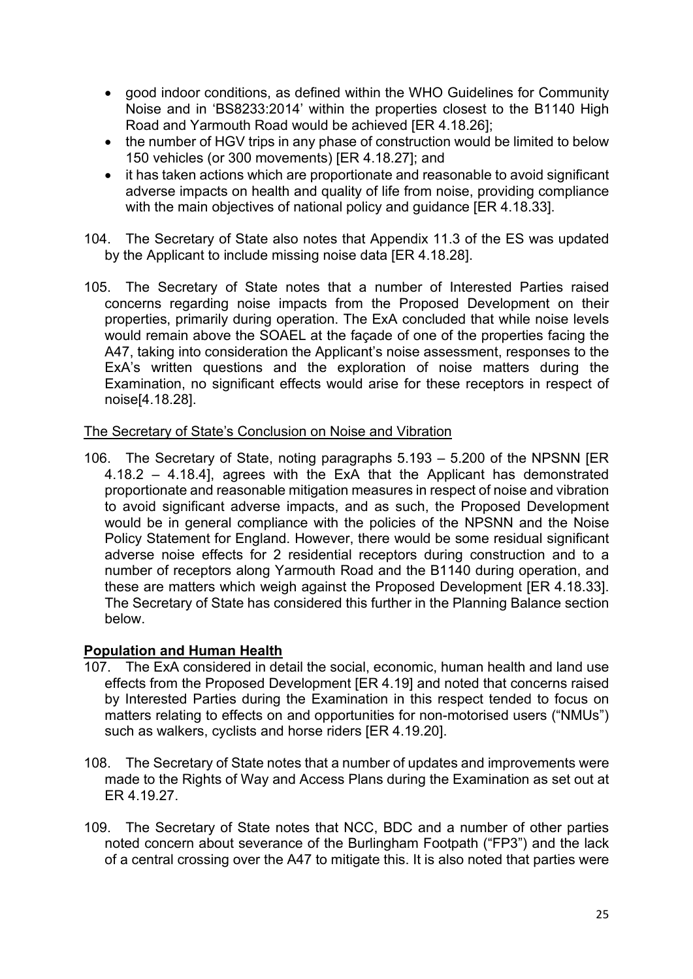- good indoor conditions, as defined within the WHO Guidelines for Community Noise and in 'BS8233:2014' within the properties closest to the B1140 High Road and Yarmouth Road would be achieved [ER 4.18.26];
- the number of HGV trips in any phase of construction would be limited to below 150 vehicles (or 300 movements) [ER 4.18.27]; and
- it has taken actions which are proportionate and reasonable to avoid significant adverse impacts on health and quality of life from noise, providing compliance with the main objectives of national policy and guidance [ER 4.18.33].
- 104. The Secretary of State also notes that Appendix 11.3 of the ES was updated by the Applicant to include missing noise data [ER 4.18.28].
- 105. The Secretary of State notes that a number of Interested Parties raised concerns regarding noise impacts from the Proposed Development on their properties, primarily during operation. The ExA concluded that while noise levels would remain above the SOAEL at the façade of one of the properties facing the A47, taking into consideration the Applicant's noise assessment, responses to the ExA's written questions and the exploration of noise matters during the Examination, no significant effects would arise for these receptors in respect of noise[4.18.28].

### The Secretary of State's Conclusion on Noise and Vibration

106. The Secretary of State, noting paragraphs 5.193 – 5.200 of the NPSNN [ER 4.18.2 – 4.18.4], agrees with the ExA that the Applicant has demonstrated proportionate and reasonable mitigation measures in respect of noise and vibration to avoid significant adverse impacts, and as such, the Proposed Development would be in general compliance with the policies of the NPSNN and the Noise Policy Statement for England. However, there would be some residual significant adverse noise effects for 2 residential receptors during construction and to a number of receptors along Yarmouth Road and the B1140 during operation, and these are matters which weigh against the Proposed Development [ER 4.18.33]. The Secretary of State has considered this further in the Planning Balance section below.

# **Population and Human Health**

- 107. The ExA considered in detail the social, economic, human health and land use effects from the Proposed Development [ER 4.19] and noted that concerns raised by Interested Parties during the Examination in this respect tended to focus on matters relating to effects on and opportunities for non-motorised users ("NMUs") such as walkers, cyclists and horse riders [ER 4.19.20].
- 108. The Secretary of State notes that a number of updates and improvements were made to the Rights of Way and Access Plans during the Examination as set out at ER 4.19.27.
- 109. The Secretary of State notes that NCC, BDC and a number of other parties noted concern about severance of the Burlingham Footpath ("FP3") and the lack of a central crossing over the A47 to mitigate this. It is also noted that parties were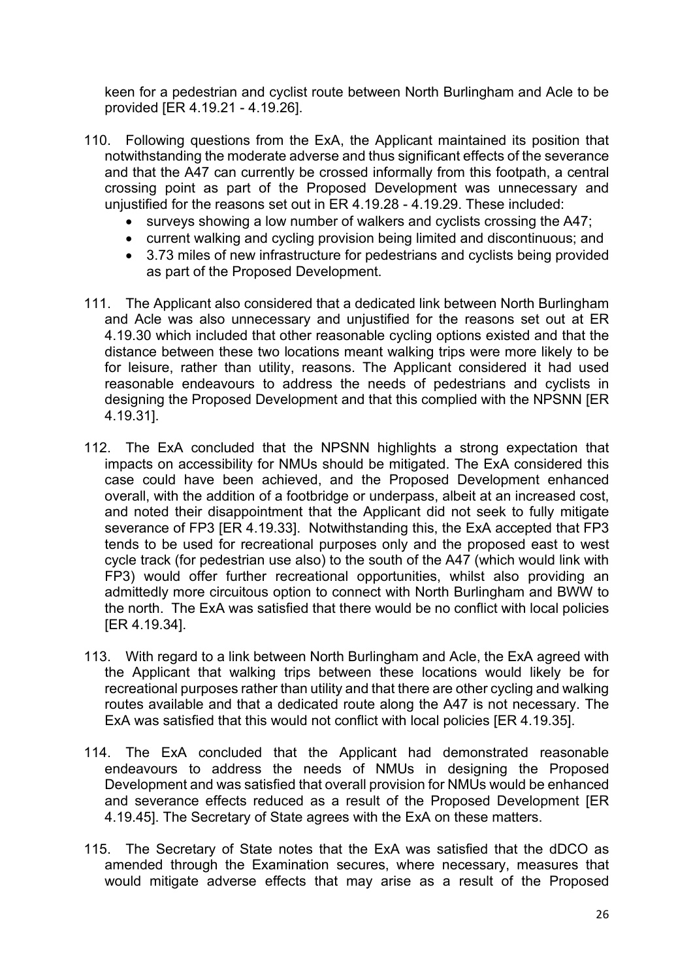keen for a pedestrian and cyclist route between North Burlingham and Acle to be provided [ER 4.19.21 - 4.19.26].

- 110. Following questions from the ExA, the Applicant maintained its position that notwithstanding the moderate adverse and thus significant effects of the severance and that the A47 can currently be crossed informally from this footpath, a central crossing point as part of the Proposed Development was unnecessary and unjustified for the reasons set out in ER 4.19.28 - 4.19.29. These included:
	- surveys showing a low number of walkers and cyclists crossing the A47;
	- current walking and cycling provision being limited and discontinuous; and
	- 3.73 miles of new infrastructure for pedestrians and cyclists being provided as part of the Proposed Development.
- 111. The Applicant also considered that a dedicated link between North Burlingham and Acle was also unnecessary and unjustified for the reasons set out at ER 4.19.30 which included that other reasonable cycling options existed and that the distance between these two locations meant walking trips were more likely to be for leisure, rather than utility, reasons. The Applicant considered it had used reasonable endeavours to address the needs of pedestrians and cyclists in designing the Proposed Development and that this complied with the NPSNN [ER 4.19.31].
- 112. The ExA concluded that the NPSNN highlights a strong expectation that impacts on accessibility for NMUs should be mitigated. The ExA considered this case could have been achieved, and the Proposed Development enhanced overall, with the addition of a footbridge or underpass, albeit at an increased cost, and noted their disappointment that the Applicant did not seek to fully mitigate severance of FP3 [ER 4.19.33]. Notwithstanding this, the ExA accepted that FP3 tends to be used for recreational purposes only and the proposed east to west cycle track (for pedestrian use also) to the south of the A47 (which would link with FP3) would offer further recreational opportunities, whilst also providing an admittedly more circuitous option to connect with North Burlingham and BWW to the north. The ExA was satisfied that there would be no conflict with local policies [ER 4.19.34].
- 113. With regard to a link between North Burlingham and Acle, the ExA agreed with the Applicant that walking trips between these locations would likely be for recreational purposes rather than utility and that there are other cycling and walking routes available and that a dedicated route along the A47 is not necessary. The ExA was satisfied that this would not conflict with local policies [ER 4.19.35].
- 114. The ExA concluded that the Applicant had demonstrated reasonable endeavours to address the needs of NMUs in designing the Proposed Development and was satisfied that overall provision for NMUs would be enhanced and severance effects reduced as a result of the Proposed Development [ER 4.19.45]. The Secretary of State agrees with the ExA on these matters.
- 115. The Secretary of State notes that the ExA was satisfied that the dDCO as amended through the Examination secures, where necessary, measures that would mitigate adverse effects that may arise as a result of the Proposed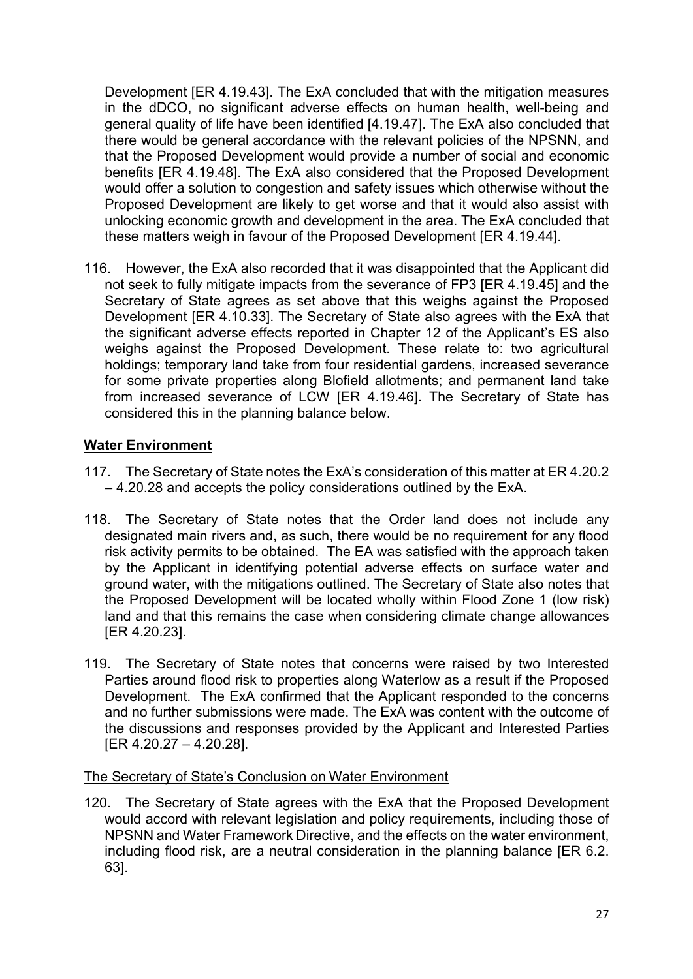Development [ER 4.19.43]. The ExA concluded that with the mitigation measures in the dDCO, no significant adverse effects on human health, well-being and general quality of life have been identified [4.19.47]. The ExA also concluded that there would be general accordance with the relevant policies of the NPSNN, and that the Proposed Development would provide a number of social and economic benefits [ER 4.19.48]. The ExA also considered that the Proposed Development would offer a solution to congestion and safety issues which otherwise without the Proposed Development are likely to get worse and that it would also assist with unlocking economic growth and development in the area. The ExA concluded that these matters weigh in favour of the Proposed Development [ER 4.19.44].

116. However, the ExA also recorded that it was disappointed that the Applicant did not seek to fully mitigate impacts from the severance of FP3 [ER 4.19.45] and the Secretary of State agrees as set above that this weighs against the Proposed Development [ER 4.10.33]. The Secretary of State also agrees with the ExA that the significant adverse effects reported in Chapter 12 of the Applicant's ES also weighs against the Proposed Development. These relate to: two agricultural holdings; temporary land take from four residential gardens, increased severance for some private properties along Blofield allotments; and permanent land take from increased severance of LCW [ER 4.19.46]. The Secretary of State has considered this in the planning balance below.

# **Water Environment**

- 117. The Secretary of State notes the ExA's consideration of this matter at ER 4.20.2 – 4.20.28 and accepts the policy considerations outlined by the ExA.
- 118. The Secretary of State notes that the Order land does not include any designated main rivers and, as such, there would be no requirement for any flood risk activity permits to be obtained. The EA was satisfied with the approach taken by the Applicant in identifying potential adverse effects on surface water and ground water, with the mitigations outlined. The Secretary of State also notes that the Proposed Development will be located wholly within Flood Zone 1 (low risk) land and that this remains the case when considering climate change allowances [ER 4.20.23].
- 119. The Secretary of State notes that concerns were raised by two Interested Parties around flood risk to properties along Waterlow as a result if the Proposed Development. The ExA confirmed that the Applicant responded to the concerns and no further submissions were made. The ExA was content with the outcome of the discussions and responses provided by the Applicant and Interested Parties [ER 4.20.27 – 4.20.28].

# The Secretary of State's Conclusion on Water Environment

120. The Secretary of State agrees with the ExA that the Proposed Development would accord with relevant legislation and policy requirements, including those of NPSNN and Water Framework Directive, and the effects on the water environment, including flood risk, are a neutral consideration in the planning balance [ER 6.2. 63].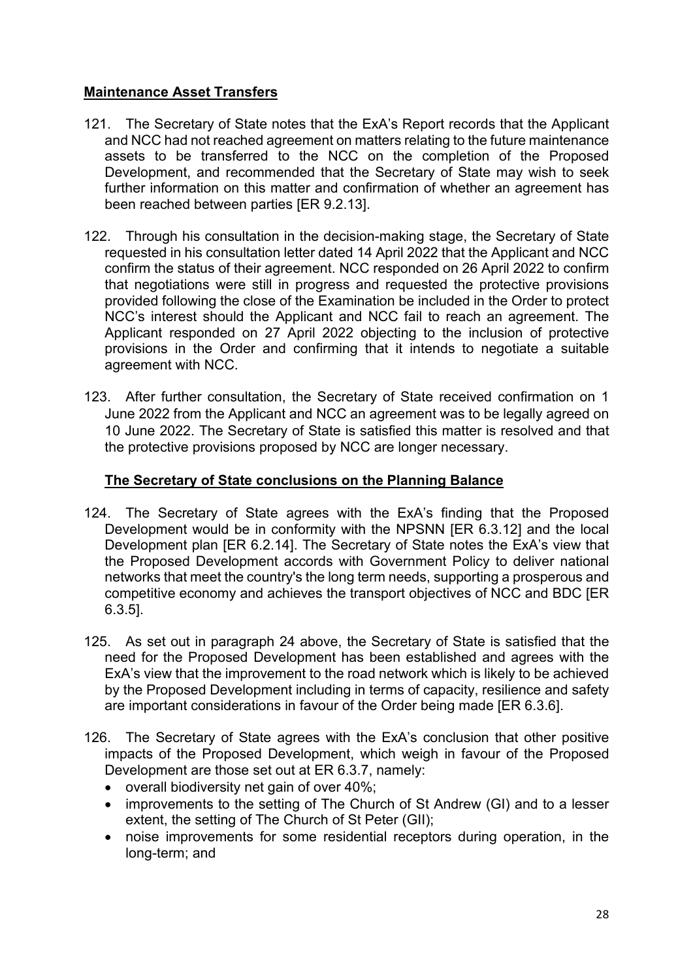# **Maintenance Asset Transfers**

- 121. The Secretary of State notes that the ExA's Report records that the Applicant and NCC had not reached agreement on matters relating to the future maintenance assets to be transferred to the NCC on the completion of the Proposed Development, and recommended that the Secretary of State may wish to seek further information on this matter and confirmation of whether an agreement has been reached between parties [ER 9.2.13].
- 122. Through his consultation in the decision-making stage, the Secretary of State requested in his consultation letter dated 14 April 2022 that the Applicant and NCC confirm the status of their agreement. NCC responded on 26 April 2022 to confirm that negotiations were still in progress and requested the protective provisions provided following the close of the Examination be included in the Order to protect NCC's interest should the Applicant and NCC fail to reach an agreement. The Applicant responded on 27 April 2022 objecting to the inclusion of protective provisions in the Order and confirming that it intends to negotiate a suitable agreement with NCC.
- 123. After further consultation, the Secretary of State received confirmation on 1 June 2022 from the Applicant and NCC an agreement was to be legally agreed on 10 June 2022. The Secretary of State is satisfied this matter is resolved and that the protective provisions proposed by NCC are longer necessary.

# **The Secretary of State conclusions on the Planning Balance**

- 124. The Secretary of State agrees with the ExA's finding that the Proposed Development would be in conformity with the NPSNN [ER 6.3.12] and the local Development plan [ER 6.2.14]. The Secretary of State notes the ExA's view that the Proposed Development accords with Government Policy to deliver national networks that meet the country's the long term needs, supporting a prosperous and competitive economy and achieves the transport objectives of NCC and BDC [ER 6.3.5].
- 125. As set out in paragraph 24 above, the Secretary of State is satisfied that the need for the Proposed Development has been established and agrees with the ExA's view that the improvement to the road network which is likely to be achieved by the Proposed Development including in terms of capacity, resilience and safety are important considerations in favour of the Order being made [ER 6.3.6].
- 126. The Secretary of State agrees with the ExA's conclusion that other positive impacts of the Proposed Development, which weigh in favour of the Proposed Development are those set out at ER 6.3.7, namely:
	- overall biodiversity net gain of over 40%;
	- improvements to the setting of The Church of St Andrew (GI) and to a lesser extent, the setting of The Church of St Peter (GII);
	- noise improvements for some residential receptors during operation, in the long-term; and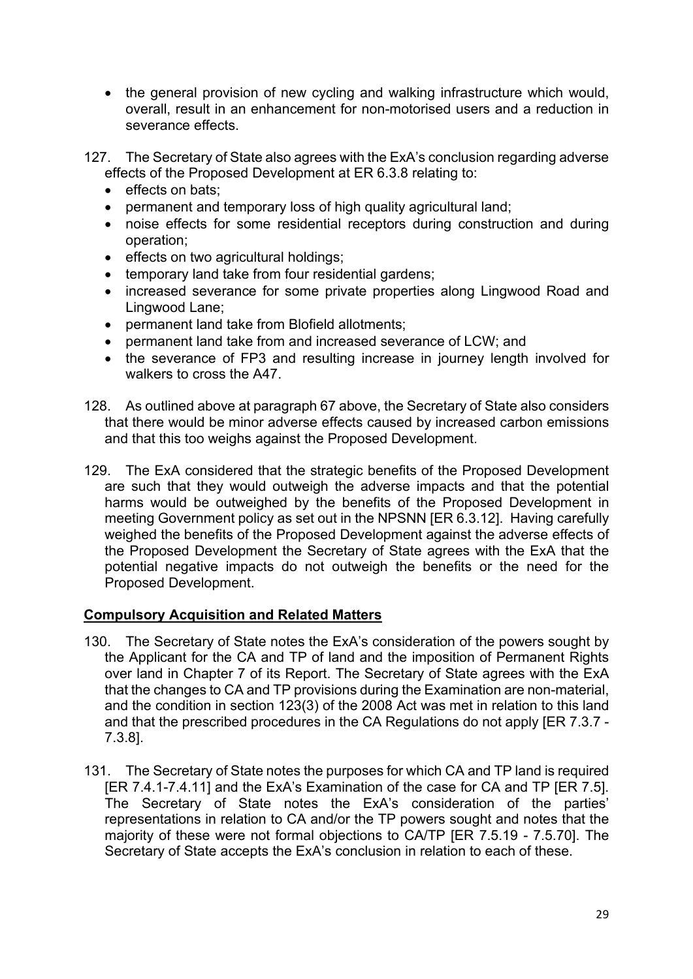- the general provision of new cycling and walking infrastructure which would, overall, result in an enhancement for non-motorised users and a reduction in severance effects.
- 127. The Secretary of State also agrees with the ExA's conclusion regarding adverse effects of the Proposed Development at ER 6.3.8 relating to:
	- effects on bats:
	- permanent and temporary loss of high quality agricultural land;
	- noise effects for some residential receptors during construction and during operation;
	- effects on two agricultural holdings;
	- temporary land take from four residential gardens;
	- increased severance for some private properties along Lingwood Road and Lingwood Lane;
	- permanent land take from Blofield allotments;
	- permanent land take from and increased severance of LCW; and
	- the severance of FP3 and resulting increase in journey length involved for walkers to cross the A47.
- 128. As outlined above at paragraph 67 above, the Secretary of State also considers that there would be minor adverse effects caused by increased carbon emissions and that this too weighs against the Proposed Development.
- 129. The ExA considered that the strategic benefits of the Proposed Development are such that they would outweigh the adverse impacts and that the potential harms would be outweighed by the benefits of the Proposed Development in meeting Government policy as set out in the NPSNN [ER 6.3.12]. Having carefully weighed the benefits of the Proposed Development against the adverse effects of the Proposed Development the Secretary of State agrees with the ExA that the potential negative impacts do not outweigh the benefits or the need for the Proposed Development.

### **Compulsory Acquisition and Related Matters**

- 130. The Secretary of State notes the ExA's consideration of the powers sought by the Applicant for the CA and TP of land and the imposition of Permanent Rights over land in Chapter 7 of its Report. The Secretary of State agrees with the ExA that the changes to CA and TP provisions during the Examination are non-material, and the condition in section 123(3) of the 2008 Act was met in relation to this land and that the prescribed procedures in the CA Regulations do not apply [ER 7.3.7 - 7.3.8].
- 131. The Secretary of State notes the purposes for which CA and TP land is required [ER 7.4.1-7.4.11] and the ExA's Examination of the case for CA and TP [ER 7.5]. The Secretary of State notes the ExA's consideration of the parties' representations in relation to CA and/or the TP powers sought and notes that the majority of these were not formal objections to CA/TP [ER 7.5.19 - 7.5.70]. The Secretary of State accepts the ExA's conclusion in relation to each of these.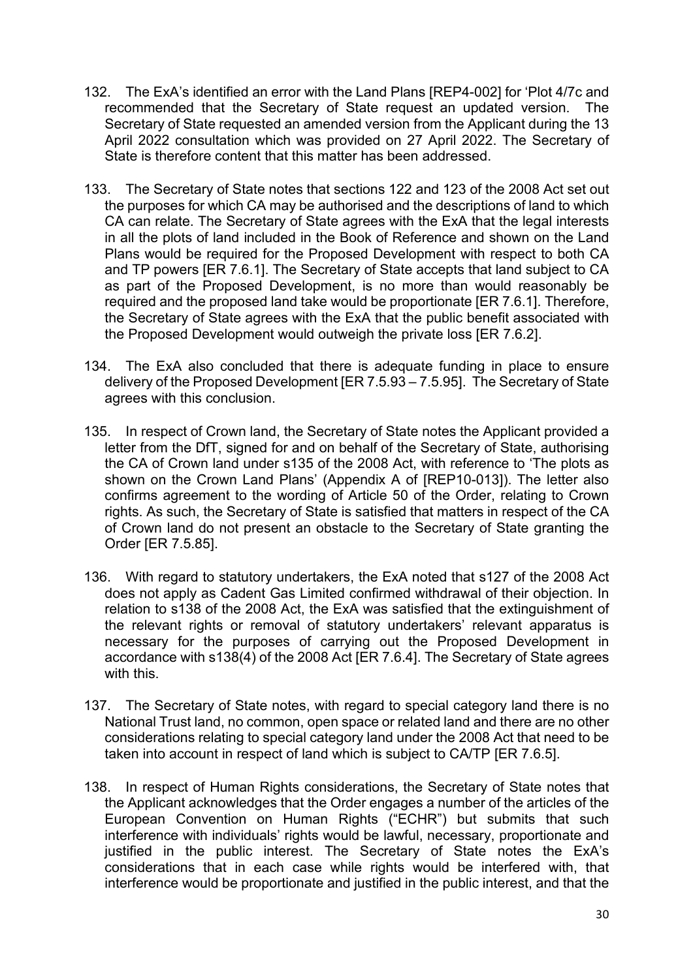- 132. The ExA's identified an error with the Land Plans [REP4-002] for 'Plot 4/7c and recommended that the Secretary of State request an updated version. The Secretary of State requested an amended version from the Applicant during the 13 April 2022 consultation which was provided on 27 April 2022. The Secretary of State is therefore content that this matter has been addressed.
- 133. The Secretary of State notes that sections 122 and 123 of the 2008 Act set out the purposes for which CA may be authorised and the descriptions of land to which CA can relate. The Secretary of State agrees with the ExA that the legal interests in all the plots of land included in the Book of Reference and shown on the Land Plans would be required for the Proposed Development with respect to both CA and TP powers [ER 7.6.1]. The Secretary of State accepts that land subject to CA as part of the Proposed Development, is no more than would reasonably be required and the proposed land take would be proportionate [ER 7.6.1]. Therefore, the Secretary of State agrees with the ExA that the public benefit associated with the Proposed Development would outweigh the private loss [ER 7.6.2].
- 134. The ExA also concluded that there is adequate funding in place to ensure delivery of the Proposed Development [ER 7.5.93 – 7.5.95]. The Secretary of State agrees with this conclusion.
- 135. In respect of Crown land, the Secretary of State notes the Applicant provided a letter from the DfT, signed for and on behalf of the Secretary of State, authorising the CA of Crown land under s135 of the 2008 Act, with reference to 'The plots as shown on the Crown Land Plans' (Appendix A of [REP10-013]). The letter also confirms agreement to the wording of Article 50 of the Order, relating to Crown rights. As such, the Secretary of State is satisfied that matters in respect of the CA of Crown land do not present an obstacle to the Secretary of State granting the Order [ER 7.5.85].
- 136. With regard to statutory undertakers, the ExA noted that s127 of the 2008 Act does not apply as Cadent Gas Limited confirmed withdrawal of their objection. In relation to s138 of the 2008 Act, the ExA was satisfied that the extinguishment of the relevant rights or removal of statutory undertakers' relevant apparatus is necessary for the purposes of carrying out the Proposed Development in accordance with s138(4) of the 2008 Act [ER 7.6.4]. The Secretary of State agrees with this.
- 137. The Secretary of State notes, with regard to special category land there is no National Trust land, no common, open space or related land and there are no other considerations relating to special category land under the 2008 Act that need to be taken into account in respect of land which is subject to CA/TP [ER 7.6.5].
- 138. In respect of Human Rights considerations, the Secretary of State notes that the Applicant acknowledges that the Order engages a number of the articles of the European Convention on Human Rights ("ECHR") but submits that such interference with individuals' rights would be lawful, necessary, proportionate and justified in the public interest. The Secretary of State notes the ExA's considerations that in each case while rights would be interfered with, that interference would be proportionate and justified in the public interest, and that the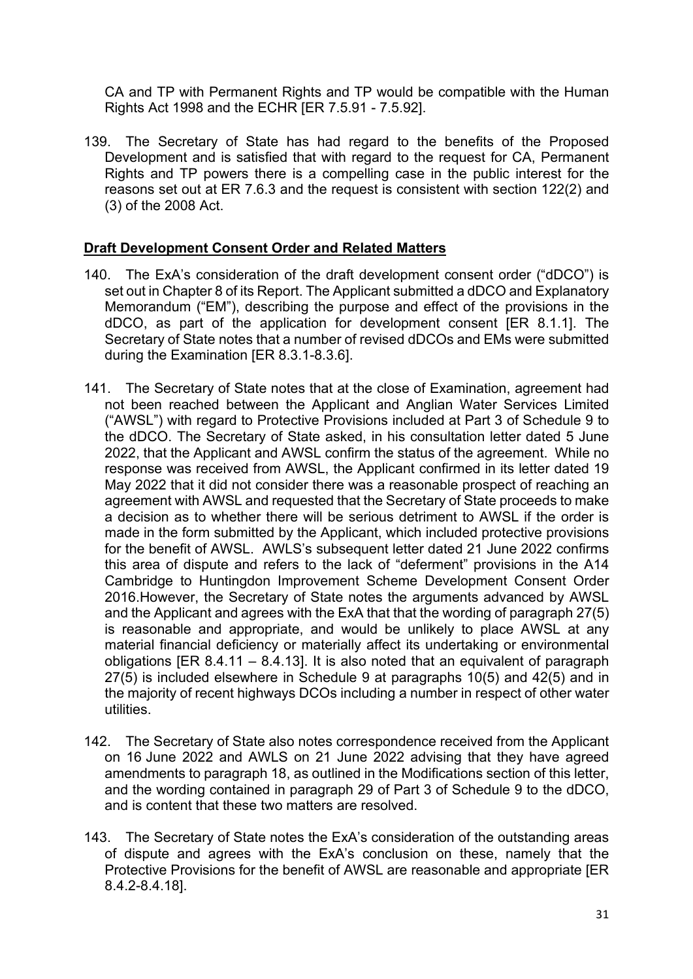CA and TP with Permanent Rights and TP would be compatible with the Human Rights Act 1998 and the ECHR [ER 7.5.91 - 7.5.92].

139. The Secretary of State has had regard to the benefits of the Proposed Development and is satisfied that with regard to the request for CA, Permanent Rights and TP powers there is a compelling case in the public interest for the reasons set out at ER 7.6.3 and the request is consistent with section 122(2) and (3) of the 2008 Act.

# **Draft Development Consent Order and Related Matters**

- 140. The ExA's consideration of the draft development consent order ("dDCO") is set out in Chapter 8 of its Report. The Applicant submitted a dDCO and Explanatory Memorandum ("EM"), describing the purpose and effect of the provisions in the dDCO, as part of the application for development consent [ER 8.1.1]. The Secretary of State notes that a number of revised dDCOs and EMs were submitted during the Examination [ER 8.3.1-8.3.6].
- 141. The Secretary of State notes that at the close of Examination, agreement had not been reached between the Applicant and Anglian Water Services Limited ("AWSL") with regard to Protective Provisions included at Part 3 of Schedule 9 to the dDCO. The Secretary of State asked, in his consultation letter dated 5 June 2022, that the Applicant and AWSL confirm the status of the agreement. While no response was received from AWSL, the Applicant confirmed in its letter dated 19 May 2022 that it did not consider there was a reasonable prospect of reaching an agreement with AWSL and requested that the Secretary of State proceeds to make a decision as to whether there will be serious detriment to AWSL if the order is made in the form submitted by the Applicant, which included protective provisions for the benefit of AWSL. AWLS's subsequent letter dated 21 June 2022 confirms this area of dispute and refers to the lack of "deferment" provisions in the A14 Cambridge to Huntingdon Improvement Scheme Development Consent Order 2016.However, the Secretary of State notes the arguments advanced by AWSL and the Applicant and agrees with the ExA that that the wording of paragraph 27(5) is reasonable and appropriate, and would be unlikely to place AWSL at any material financial deficiency or materially affect its undertaking or environmental obligations [ER 8.4.11 – 8.4.13]. It is also noted that an equivalent of paragraph 27(5) is included elsewhere in Schedule 9 at paragraphs 10(5) and 42(5) and in the majority of recent highways DCOs including a number in respect of other water utilities.
- 142. The Secretary of State also notes correspondence received from the Applicant on 16 June 2022 and AWLS on 21 June 2022 advising that they have agreed amendments to paragraph 18, as outlined in the Modifications section of this letter, and the wording contained in paragraph 29 of Part 3 of Schedule 9 to the dDCO, and is content that these two matters are resolved.
- 143. The Secretary of State notes the ExA's consideration of the outstanding areas of dispute and agrees with the ExA's conclusion on these, namely that the Protective Provisions for the benefit of AWSL are reasonable and appropriate [ER 8.4.2-8.4.18].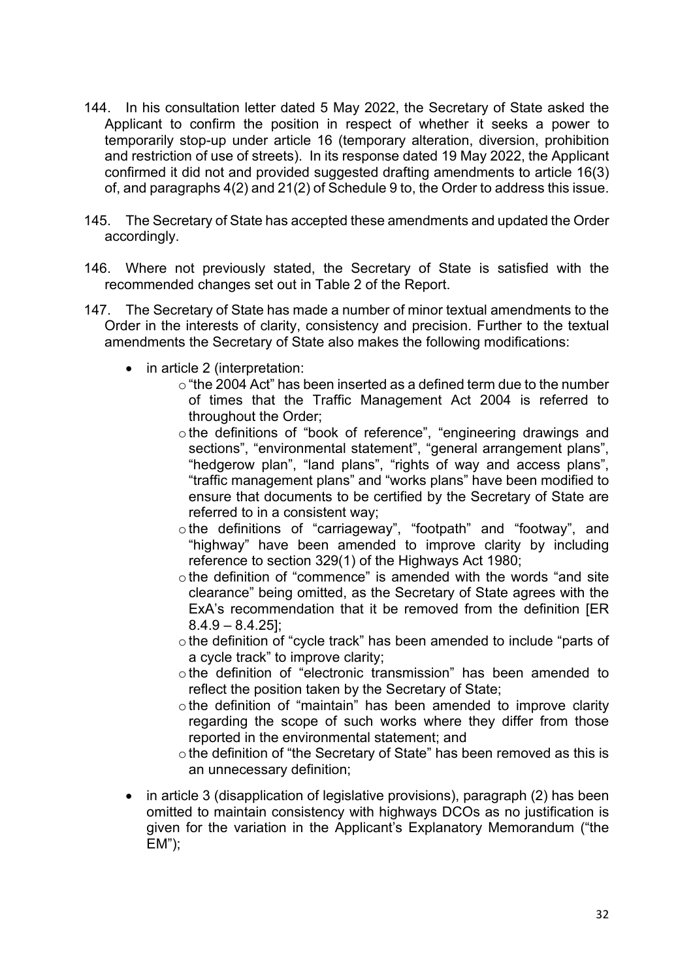- 144. In his consultation letter dated 5 May 2022, the Secretary of State asked the Applicant to confirm the position in respect of whether it seeks a power to temporarily stop-up under article 16 (temporary alteration, diversion, prohibition and restriction of use of streets). In its response dated 19 May 2022, the Applicant confirmed it did not and provided suggested drafting amendments to article 16(3) of, and paragraphs 4(2) and 21(2) of Schedule 9 to, the Order to address this issue.
- 145. The Secretary of State has accepted these amendments and updated the Order accordingly.
- 146. Where not previously stated, the Secretary of State is satisfied with the recommended changes set out in Table 2 of the Report.
- 147. The Secretary of State has made a number of minor textual amendments to the Order in the interests of clarity, consistency and precision. Further to the textual amendments the Secretary of State also makes the following modifications:
	- in article 2 (interpretation:
		- $\circ$  "the 2004 Act" has been inserted as a defined term due to the number of times that the Traffic Management Act 2004 is referred to throughout the Order;
		- o the definitions of "book of reference", "engineering drawings and sections", "environmental statement", "general arrangement plans", "hedgerow plan", "land plans", "rights of way and access plans", "traffic management plans" and "works plans" have been modified to ensure that documents to be certified by the Secretary of State are referred to in a consistent way;
		- o the definitions of "carriageway", "footpath" and "footway", and "highway" have been amended to improve clarity by including reference to section 329(1) of the Highways Act 1980;
		- othe definition of "commence" is amended with the words "and site clearance" being omitted, as the Secretary of State agrees with the ExA's recommendation that it be removed from the definition [ER  $8.4.9 - 8.4.25$ ];
		- o the definition of "cycle track" has been amended to include "parts of a cycle track" to improve clarity;
		- othe definition of "electronic transmission" has been amended to reflect the position taken by the Secretary of State;
		- othe definition of "maintain" has been amended to improve clarity regarding the scope of such works where they differ from those reported in the environmental statement; and
		- othe definition of "the Secretary of State" has been removed as this is an unnecessary definition;
	- in article 3 (disapplication of legislative provisions), paragraph (2) has been omitted to maintain consistency with highways DCOs as no justification is given for the variation in the Applicant's Explanatory Memorandum ("the EM");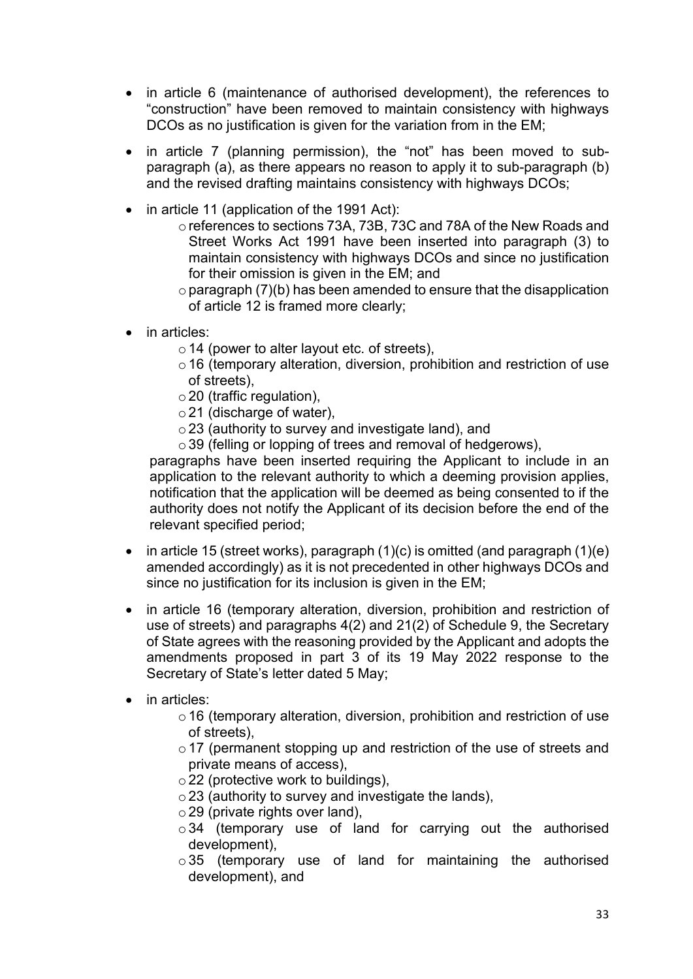- in article 6 (maintenance of authorised development), the references to "construction" have been removed to maintain consistency with highways DCOs as no justification is given for the variation from in the EM;
- in article 7 (planning permission), the "not" has been moved to subparagraph (a), as there appears no reason to apply it to sub-paragraph (b) and the revised drafting maintains consistency with highways DCOs;
- in article 11 (application of the 1991 Act):
	- oreferences to sections 73A, 73B, 73C and 78A of the New Roads and Street Works Act 1991 have been inserted into paragraph (3) to maintain consistency with highways DCOs and since no justification for their omission is given in the EM; and
	- $\circ$  paragraph (7)(b) has been amended to ensure that the disapplication of article 12 is framed more clearly;
- in articles:
	- $\circ$  14 (power to alter layout etc. of streets),
	- $\circ$  16 (temporary alteration, diversion, prohibition and restriction of use of streets),
	- $\circ$  20 (traffic regulation),
	- o21 (discharge of water),
	- o23 (authority to survey and investigate land), and
	- $\circ$  39 (felling or lopping of trees and removal of hedgerows),

paragraphs have been inserted requiring the Applicant to include in an application to the relevant authority to which a deeming provision applies, notification that the application will be deemed as being consented to if the authority does not notify the Applicant of its decision before the end of the relevant specified period;

- in article 15 (street works), paragraph  $(1)(c)$  is omitted (and paragraph  $(1)(e)$ ) amended accordingly) as it is not precedented in other highways DCOs and since no justification for its inclusion is given in the EM;
- in article 16 (temporary alteration, diversion, prohibition and restriction of use of streets) and paragraphs 4(2) and 21(2) of Schedule 9, the Secretary of State agrees with the reasoning provided by the Applicant and adopts the amendments proposed in part 3 of its 19 May 2022 response to the Secretary of State's letter dated 5 May;
- in articles:
	- $\circ$  16 (temporary alteration, diversion, prohibition and restriction of use of streets),
	- $\circ$  17 (permanent stopping up and restriction of the use of streets and private means of access),
	- $\circ$  22 (protective work to buildings),
	- $\circ$  23 (authority to survey and investigate the lands),
	- $\circ$  29 (private rights over land).
	- $\circ$  34 (temporary use of land for carrying out the authorised development),
	- $\circ$ 35 (temporary use of land for maintaining the authorised development), and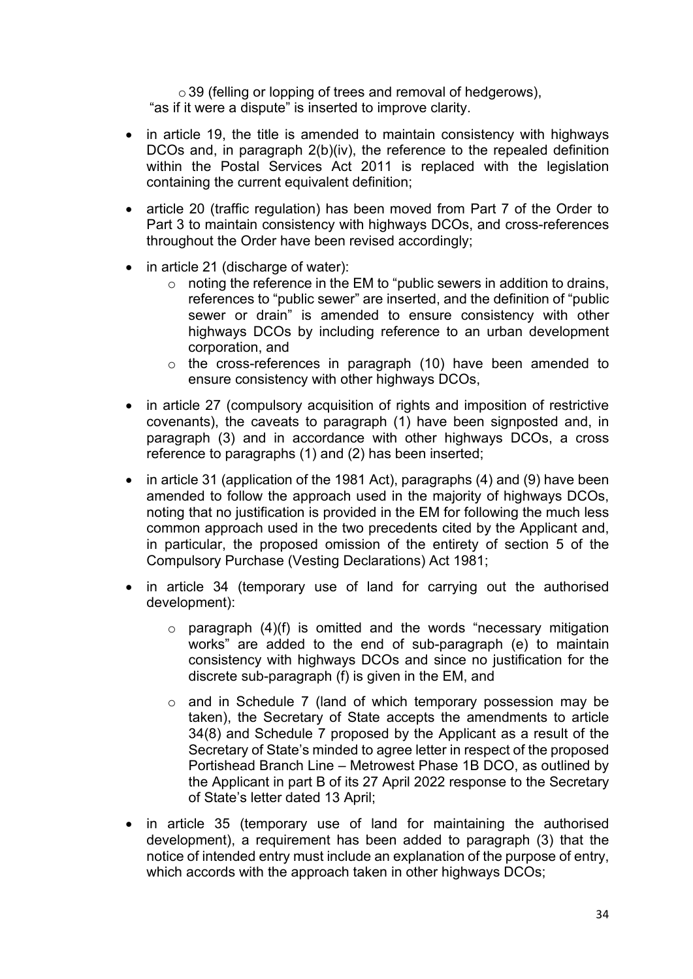o 39 (felling or lopping of trees and removal of hedgerows), "as if it were a dispute" is inserted to improve clarity.

- in article 19, the title is amended to maintain consistency with highways DCOs and, in paragraph 2(b)(iv), the reference to the repealed definition within the Postal Services Act 2011 is replaced with the legislation containing the current equivalent definition;
- article 20 (traffic regulation) has been moved from Part 7 of the Order to Part 3 to maintain consistency with highways DCOs, and cross-references throughout the Order have been revised accordingly;
- in article 21 (discharge of water):
	- $\circ$  noting the reference in the EM to "public sewers in addition to drains, references to "public sewer" are inserted, and the definition of "public sewer or drain" is amended to ensure consistency with other highways DCOs by including reference to an urban development corporation, and
	- o the cross-references in paragraph (10) have been amended to ensure consistency with other highways DCOs,
- in article 27 (compulsory acquisition of rights and imposition of restrictive covenants), the caveats to paragraph (1) have been signposted and, in paragraph (3) and in accordance with other highways DCOs, a cross reference to paragraphs (1) and (2) has been inserted;
- in article 31 (application of the 1981 Act), paragraphs (4) and (9) have been amended to follow the approach used in the majority of highways DCOs, noting that no justification is provided in the EM for following the much less common approach used in the two precedents cited by the Applicant and, in particular, the proposed omission of the entirety of section 5 of the Compulsory Purchase (Vesting Declarations) Act 1981;
- in article 34 (temporary use of land for carrying out the authorised development):
	- $\circ$  paragraph (4)(f) is omitted and the words "necessary mitigation works" are added to the end of sub-paragraph (e) to maintain consistency with highways DCOs and since no justification for the discrete sub-paragraph (f) is given in the EM, and
	- o and in Schedule 7 (land of which temporary possession may be taken), the Secretary of State accepts the amendments to article 34(8) and Schedule 7 proposed by the Applicant as a result of the Secretary of State's minded to agree letter in respect of the proposed Portishead Branch Line – Metrowest Phase 1B DCO, as outlined by the Applicant in part B of its 27 April 2022 response to the Secretary of State's letter dated 13 April;
- in article 35 (temporary use of land for maintaining the authorised development), a requirement has been added to paragraph (3) that the notice of intended entry must include an explanation of the purpose of entry, which accords with the approach taken in other highways DCOs;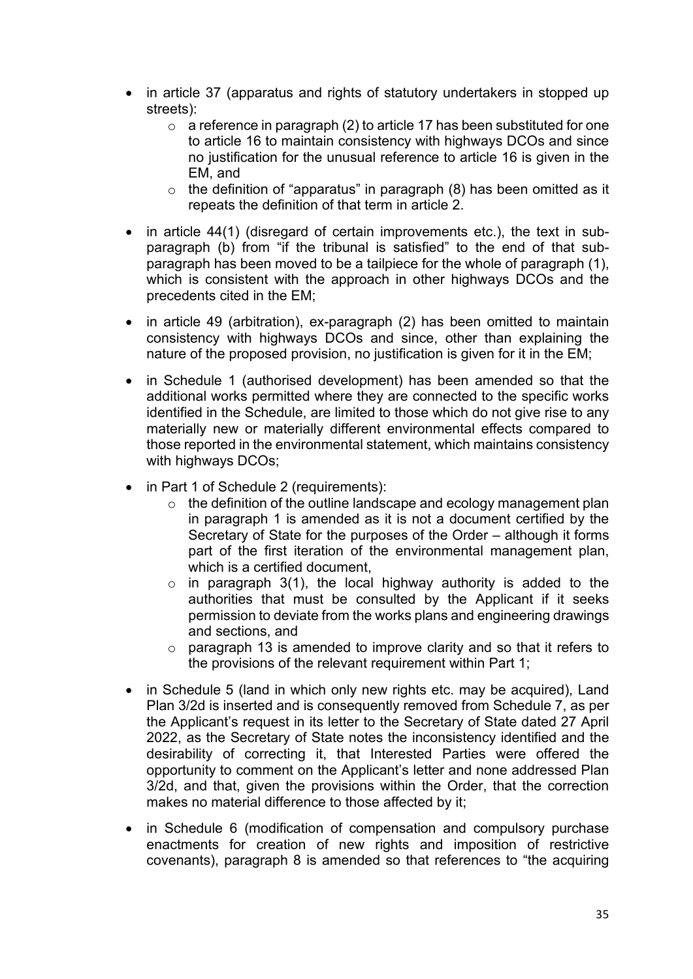- in article 37 (apparatus and rights of statutory undertakers in stopped up streets):
	- $\circ$  a reference in paragraph (2) to article 17 has been substituted for one to article 16 to maintain consistency with highways DCOs and since no justification for the unusual reference to article 16 is given in the EM, and
	- $\circ$  the definition of "apparatus" in paragraph (8) has been omitted as it repeats the definition of that term in article 2.
- in article 44(1) (disregard of certain improvements etc.), the text in subparagraph (b) from "if the tribunal is satisfied" to the end of that subparagraph has been moved to be a tailpiece for the whole of paragraph (1), which is consistent with the approach in other highways DCOs and the precedents cited in the EM;
- in article 49 (arbitration), ex-paragraph (2) has been omitted to maintain consistency with highways DCOs and since, other than explaining the nature of the proposed provision, no justification is given for it in the EM;
- in Schedule 1 (authorised development) has been amended so that the additional works permitted where they are connected to the specific works identified in the Schedule, are limited to those which do not give rise to any materially new or materially different environmental effects compared to those reported in the environmental statement, which maintains consistency with highways DCOs;
- in Part 1 of Schedule 2 (requirements):
	- $\circ$  the definition of the outline landscape and ecology management plan in paragraph 1 is amended as it is not a document certified by the Secretary of State for the purposes of the Order – although it forms part of the first iteration of the environmental management plan, which is a certified document.
	- $\circ$  in paragraph 3(1), the local highway authority is added to the authorities that must be consulted by the Applicant if it seeks permission to deviate from the works plans and engineering drawings and sections, and
	- $\circ$  paragraph 13 is amended to improve clarity and so that it refers to the provisions of the relevant requirement within Part 1;
- in Schedule 5 (land in which only new rights etc. may be acquired), Land Plan 3/2d is inserted and is consequently removed from Schedule 7, as per the Applicant's request in its letter to the Secretary of State dated 27 April 2022, as the Secretary of State notes the inconsistency identified and the desirability of correcting it, that Interested Parties were offered the opportunity to comment on the Applicant's letter and none addressed Plan 3/2d, and that, given the provisions within the Order, that the correction makes no material difference to those affected by it;
- in Schedule 6 (modification of compensation and compulsory purchase enactments for creation of new rights and imposition of restrictive covenants), paragraph 8 is amended so that references to "the acquiring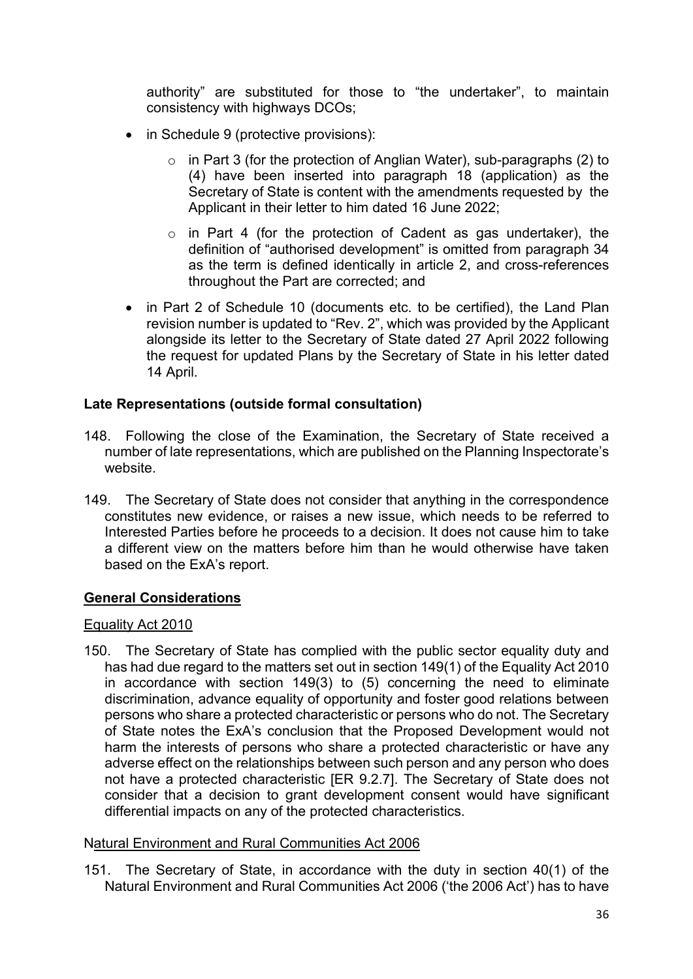authority" are substituted for those to "the undertaker", to maintain consistency with highways DCOs;

- in Schedule 9 (protective provisions):
	- $\circ$  in Part 3 (for the protection of Anglian Water), sub-paragraphs (2) to (4) have been inserted into paragraph 18 (application) as the Secretary of State is content with the amendments requested by the Applicant in their letter to him dated 16 June 2022;
	- o in Part 4 (for the protection of Cadent as gas undertaker), the definition of "authorised development" is omitted from paragraph 34 as the term is defined identically in article 2, and cross-references throughout the Part are corrected; and
- in Part 2 of Schedule 10 (documents etc. to be certified), the Land Plan revision number is updated to "Rev. 2", which was provided by the Applicant alongside its letter to the Secretary of State dated 27 April 2022 following the request for updated Plans by the Secretary of State in his letter dated 14 April.

### **Late Representations (outside formal consultation)**

- 148. Following the close of the Examination, the Secretary of State received a number of late representations, which are published on the Planning Inspectorate's website.
- 149. The Secretary of State does not consider that anything in the correspondence constitutes new evidence, or raises a new issue, which needs to be referred to Interested Parties before he proceeds to a decision. It does not cause him to take a different view on the matters before him than he would otherwise have taken based on the ExA's report.

# **General Considerations**

### Equality Act 2010

150. The Secretary of State has complied with the public sector equality duty and has had due regard to the matters set out in section 149(1) of the Equality Act 2010 in accordance with section 149(3) to (5) concerning the need to eliminate discrimination, advance equality of opportunity and foster good relations between persons who share a protected characteristic or persons who do not. The Secretary of State notes the ExA's conclusion that the Proposed Development would not harm the interests of persons who share a protected characteristic or have any adverse effect on the relationships between such person and any person who does not have a protected characteristic [ER 9.2.7]. The Secretary of State does not consider that a decision to grant development consent would have significant differential impacts on any of the protected characteristics.

### Natural Environment and Rural Communities Act 2006

151. The Secretary of State, in accordance with the duty in section 40(1) of the Natural Environment and Rural Communities Act 2006 ('the 2006 Act') has to have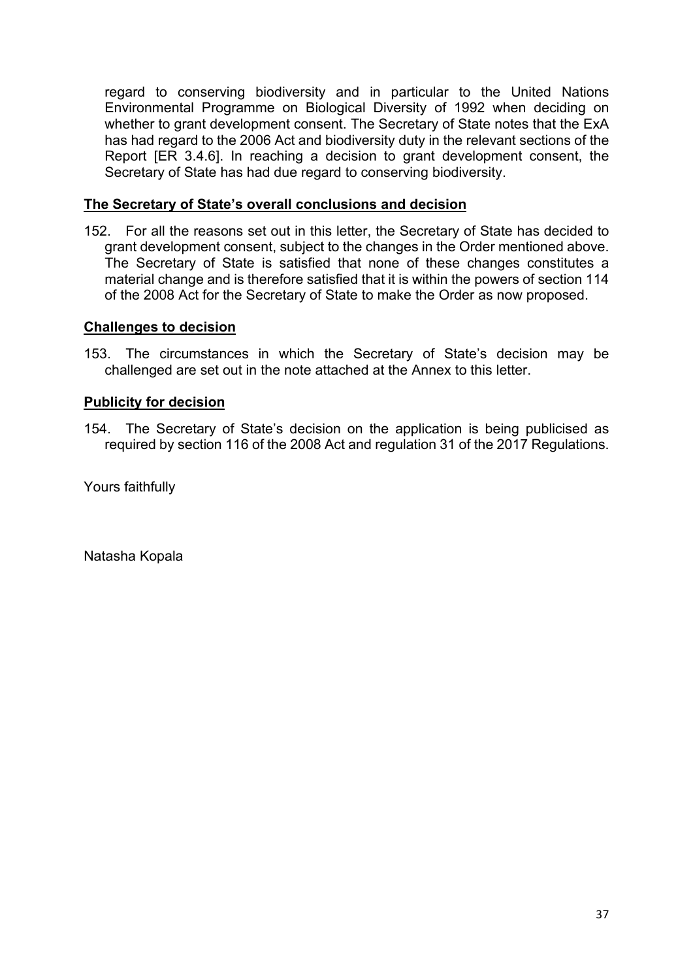regard to conserving biodiversity and in particular to the United Nations Environmental Programme on Biological Diversity of 1992 when deciding on whether to grant development consent. The Secretary of State notes that the ExA has had regard to the 2006 Act and biodiversity duty in the relevant sections of the Report [ER 3.4.6]. In reaching a decision to grant development consent, the Secretary of State has had due regard to conserving biodiversity.

### **The Secretary of State's overall conclusions and decision**

152. For all the reasons set out in this letter, the Secretary of State has decided to grant development consent, subject to the changes in the Order mentioned above. The Secretary of State is satisfied that none of these changes constitutes a material change and is therefore satisfied that it is within the powers of section 114 of the 2008 Act for the Secretary of State to make the Order as now proposed.

### **Challenges to decision**

153. The circumstances in which the Secretary of State's decision may be challenged are set out in the note attached at the Annex to this letter.

### **Publicity for decision**

154. The Secretary of State's decision on the application is being publicised as required by section 116 of the 2008 Act and regulation 31 of the 2017 Regulations.

Yours faithfully

Natasha Kopala